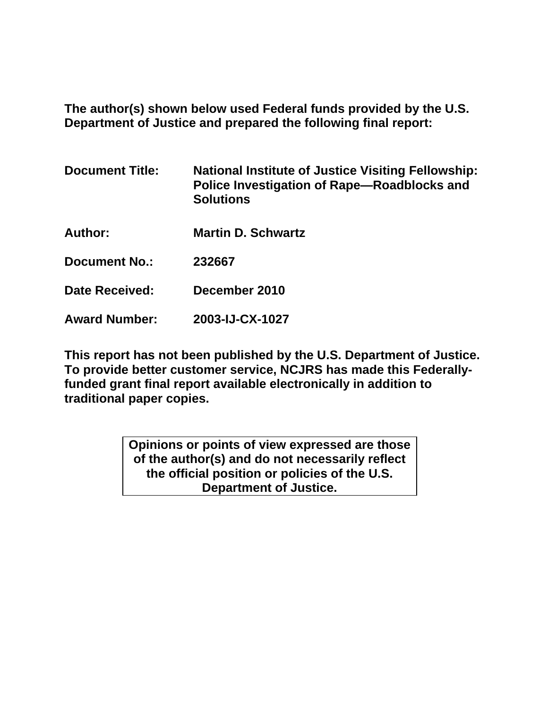**The author(s) shown below used Federal funds provided by the U.S. Department of Justice and prepared the following final report:** 

| <b>Document Title:</b> | <b>National Institute of Justice Visiting Fellowship:</b><br>Police Investigation of Rape-Roadblocks and<br><b>Solutions</b> |
|------------------------|------------------------------------------------------------------------------------------------------------------------------|
| Author:                | <b>Martin D. Schwartz</b>                                                                                                    |
| <b>Document No.:</b>   | 232667                                                                                                                       |
| <b>Date Received:</b>  | December 2010                                                                                                                |
| <b>Award Number:</b>   | 2003-IJ-CX-1027                                                                                                              |

**This report has not been published by the U.S. Department of Justice. To provide better customer service, NCJRS has made this Federallyfunded grant final report available electronically in addition to traditional paper copies.** 

> **Opinions or points of view expressed are those of the author(s) and do not necessarily reflect the official position or policies of the U.S. Department of Justice.**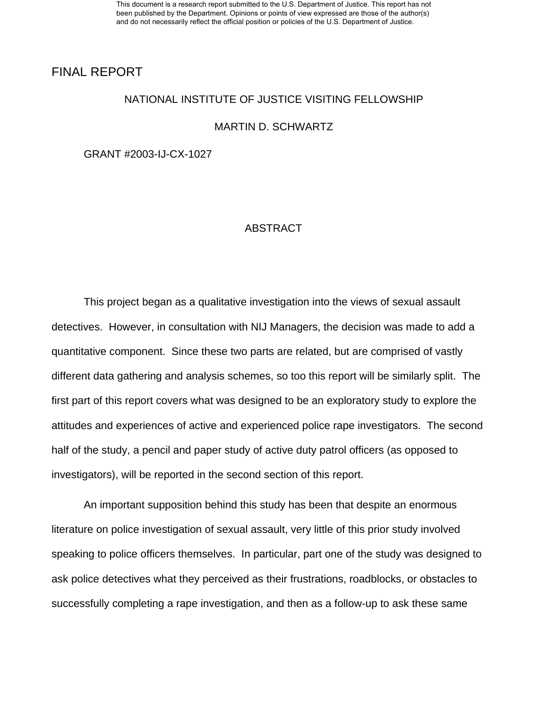### FINAL REPORT

#### NATIONAL INSTITUTE OF JUSTICE VISITING FELLOWSHIP

#### MARTIN D. SCHWARTZ

GRANT #2003-IJ-CX-1027

#### ABSTRACT

 This project began as a qualitative investigation into the views of sexual assault detectives. However, in consultation with NIJ Managers, the decision was made to add a quantitative component. Since these two parts are related, but are comprised of vastly different data gathering and analysis schemes, so too this report will be similarly split. The first part of this report covers what was designed to be an exploratory study to explore the attitudes and experiences of active and experienced police rape investigators. The second half of the study, a pencil and paper study of active duty patrol officers (as opposed to investigators), will be reported in the second section of this report.

 An important supposition behind this study has been that despite an enormous literature on police investigation of sexual assault, very little of this prior study involved speaking to police officers themselves. In particular, part one of the study was designed to ask police detectives what they perceived as their frustrations, roadblocks, or obstacles to successfully completing a rape investigation, and then as a follow-up to ask these same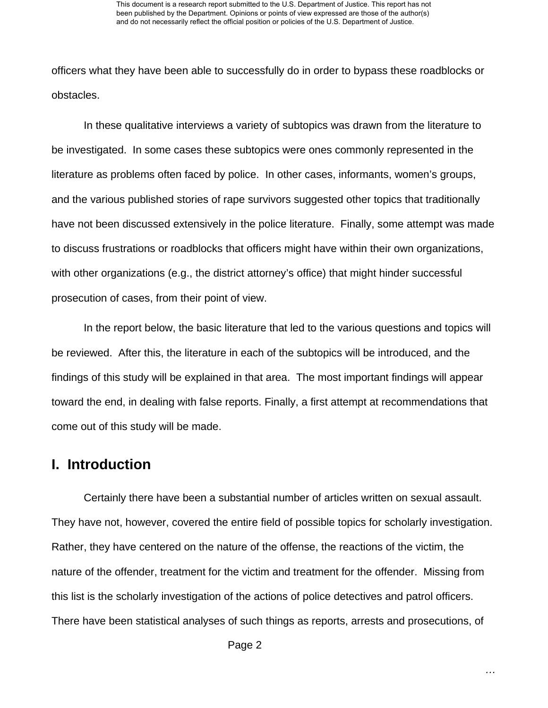officers what they have been able to successfully do in order to bypass these roadblocks or obstacles.

In these qualitative interviews a variety of subtopics was drawn from the literature to be investigated. In some cases these subtopics were ones commonly represented in the literature as problems often faced by police. In other cases, informants, women's groups, and the various published stories of rape survivors suggested other topics that traditionally have not been discussed extensively in the police literature. Finally, some attempt was made to discuss frustrations or roadblocks that officers might have within their own organizations, with other organizations (e.g., the district attorney's office) that might hinder successful prosecution of cases, from their point of view.

In the report below, the basic literature that led to the various questions and topics will be reviewed. After this, the literature in each of the subtopics will be introduced, and the findings of this study will be explained in that area. The most important findings will appear toward the end, in dealing with false reports. Finally, a first attempt at recommendations that come out of this study will be made.

# **I. Introduction**

Certainly there have been a substantial number of articles written on sexual assault. They have not, however, covered the entire field of possible topics for scholarly investigation. Rather, they have centered on the nature of the offense, the reactions of the victim, the nature of the offender, treatment for the victim and treatment for the offender. Missing from this list is the scholarly investigation of the actions of police detectives and patrol officers. There have been statistical analyses of such things as reports, arrests and prosecutions, of

Page 2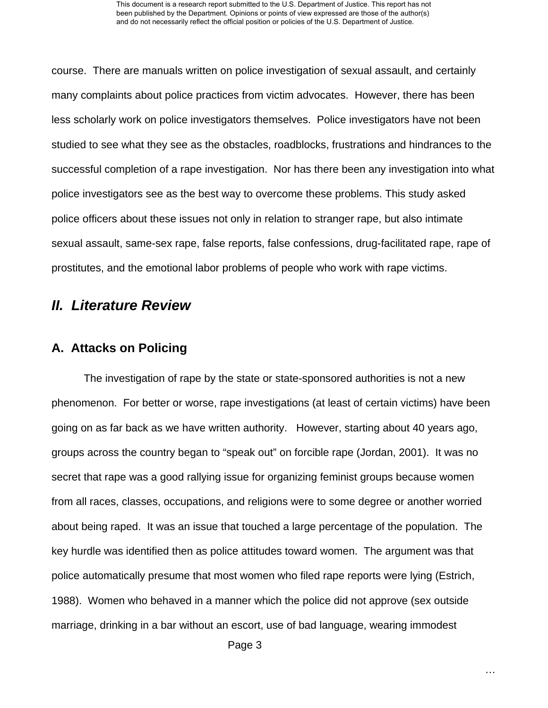course. There are manuals written on police investigation of sexual assault, and certainly many complaints about police practices from victim advocates. However, there has been less scholarly work on police investigators themselves. Police investigators have not been studied to see what they see as the obstacles, roadblocks, frustrations and hindrances to the successful completion of a rape investigation. Nor has there been any investigation into what police investigators see as the best way to overcome these problems. This study asked police officers about these issues not only in relation to stranger rape, but also intimate sexual assault, same-sex rape, false reports, false confessions, drug-facilitated rape, rape of prostitutes, and the emotional labor problems of people who work with rape victims.

# *II. Literature Review*

## **A. Attacks on Policing**

The investigation of rape by the state or state-sponsored authorities is not a new phenomenon. For better or worse, rape investigations (at least of certain victims) have been going on as far back as we have written authority. However, starting about 40 years ago, groups across the country began to "speak out" on forcible rape (Jordan, 2001). It was no secret that rape was a good rallying issue for organizing feminist groups because women from all races, classes, occupations, and religions were to some degree or another worried about being raped. It was an issue that touched a large percentage of the population. The key hurdle was identified then as police attitudes toward women. The argument was that police automatically presume that most women who filed rape reports were lying (Estrich, 1988). Women who behaved in a manner which the police did not approve (sex outside marriage, drinking in a bar without an escort, use of bad language, wearing immodest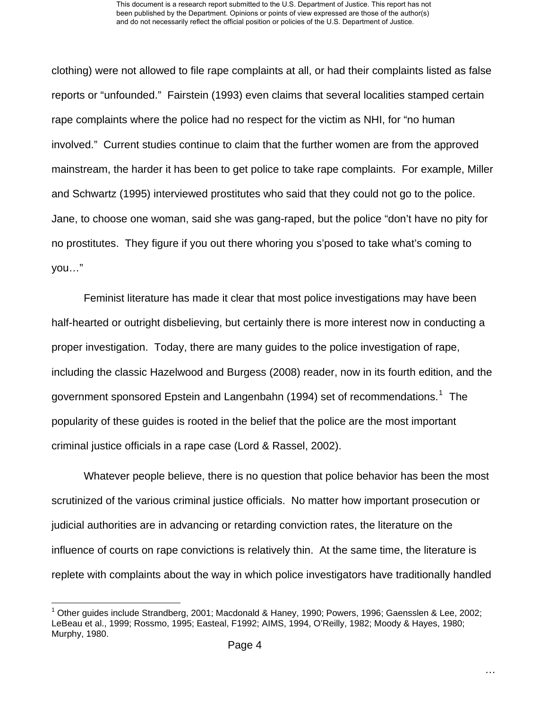clothing) were not allowed to file rape complaints at all, or had their complaints listed as false reports or "unfounded." Fairstein (1993) even claims that several localities stamped certain rape complaints where the police had no respect for the victim as NHI, for "no human involved." Current studies continue to claim that the further women are from the approved mainstream, the harder it has been to get police to take rape complaints. For example, Miller and Schwartz (1995) interviewed prostitutes who said that they could not go to the police. Jane, to choose one woman, said she was gang-raped, but the police "don't have no pity for no prostitutes. They figure if you out there whoring you s'posed to take what's coming to you…"

Feminist literature has made it clear that most police investigations may have been half-hearted or outright disbelieving, but certainly there is more interest now in conducting a proper investigation. Today, there are many guides to the police investigation of rape, including the classic Hazelwood and Burgess (2008) reader, now in its fourth edition, and the government sponsored Epstein and Langenbahn ([1](#page-4-0)994) set of recommendations.<sup>1</sup> The popularity of these guides is rooted in the belief that the police are the most important criminal justice officials in a rape case (Lord & Rassel, 2002).

Whatever people believe, there is no question that police behavior has been the most scrutinized of the various criminal justice officials. No matter how important prosecution or judicial authorities are in advancing or retarding conviction rates, the literature on the influence of courts on rape convictions is relatively thin. At the same time, the literature is replete with complaints about the way in which police investigators have traditionally handled

l

<span id="page-4-0"></span><sup>&</sup>lt;sup>1</sup> Other guides include Strandberg, 2001; Macdonald & Haney, 1990; Powers, 1996; Gaensslen & Lee, 2002; LeBeau et al., 1999; Rossmo, 1995; Easteal, F1992; AIMS, 1994, O'Reilly, 1982; Moody & Hayes, 1980; Murphy, 1980.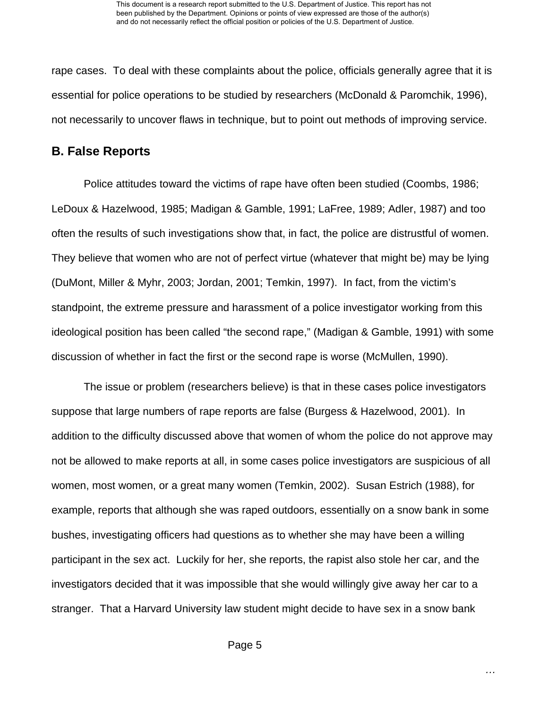rape cases. To deal with these complaints about the police, officials generally agree that it is essential for police operations to be studied by researchers (McDonald & Paromchik, 1996), not necessarily to uncover flaws in technique, but to point out methods of improving service.

### **B. False Reports**

Police attitudes toward the victims of rape have often been studied (Coombs, 1986; LeDoux & Hazelwood, 1985; Madigan & Gamble, 1991; LaFree, 1989; Adler, 1987) and too often the results of such investigations show that, in fact, the police are distrustful of women. They believe that women who are not of perfect virtue (whatever that might be) may be lying (DuMont, Miller & Myhr, 2003; Jordan, 2001; Temkin, 1997). In fact, from the victim's standpoint, the extreme pressure and harassment of a police investigator working from this ideological position has been called "the second rape," (Madigan & Gamble, 1991) with some discussion of whether in fact the first or the second rape is worse (McMullen, 1990).

The issue or problem (researchers believe) is that in these cases police investigators suppose that large numbers of rape reports are false (Burgess & Hazelwood, 2001). In addition to the difficulty discussed above that women of whom the police do not approve may not be allowed to make reports at all, in some cases police investigators are suspicious of all women, most women, or a great many women (Temkin, 2002). Susan Estrich (1988), for example, reports that although she was raped outdoors, essentially on a snow bank in some bushes, investigating officers had questions as to whether she may have been a willing participant in the sex act. Luckily for her, she reports, the rapist also stole her car, and the investigators decided that it was impossible that she would willingly give away her car to a stranger. That a Harvard University law student might decide to have sex in a snow bank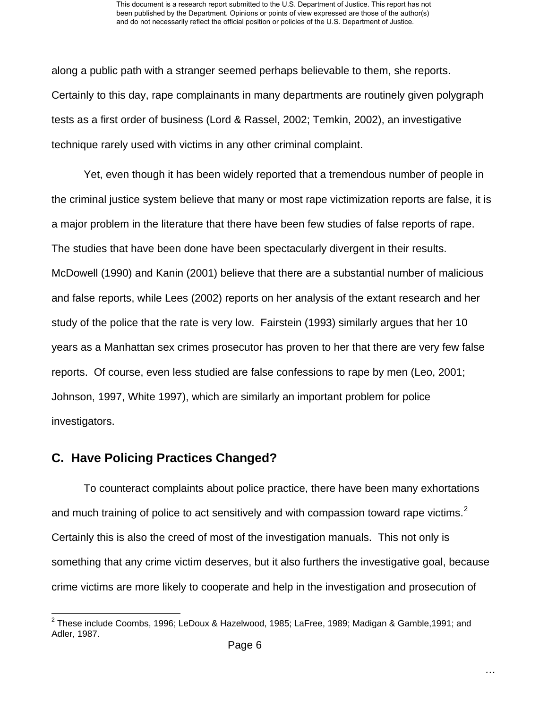along a public path with a stranger seemed perhaps believable to them, she reports. Certainly to this day, rape complainants in many departments are routinely given polygraph tests as a first order of business (Lord & Rassel, 2002; Temkin, 2002), an investigative technique rarely used with victims in any other criminal complaint.

Yet, even though it has been widely reported that a tremendous number of people in the criminal justice system believe that many or most rape victimization reports are false, it is a major problem in the literature that there have been few studies of false reports of rape. The studies that have been done have been spectacularly divergent in their results. McDowell (1990) and Kanin (2001) believe that there are a substantial number of malicious and false reports, while Lees (2002) reports on her analysis of the extant research and her study of the police that the rate is very low. Fairstein (1993) similarly argues that her 10 years as a Manhattan sex crimes prosecutor has proven to her that there are very few false reports. Of course, even less studied are false confessions to rape by men (Leo, 2001; Johnson, 1997, White 1997), which are similarly an important problem for police investigators.

# **C. Have Policing Practices Changed?**

l

To counteract complaints about police practice, there have been many exhortations and much training of police to act sensitively and with compassion toward rape victims.<sup>[2](#page-6-0)</sup> Certainly this is also the creed of most of the investigation manuals. This not only is something that any crime victim deserves, but it also furthers the investigative goal, because crime victims are more likely to cooperate and help in the investigation and prosecution of

<span id="page-6-0"></span> $^2$  These include Coombs, 1996; LeDoux & Hazelwood, 1985; LaFree, 1989; Madigan & Gamble,1991; and Adler, 1987.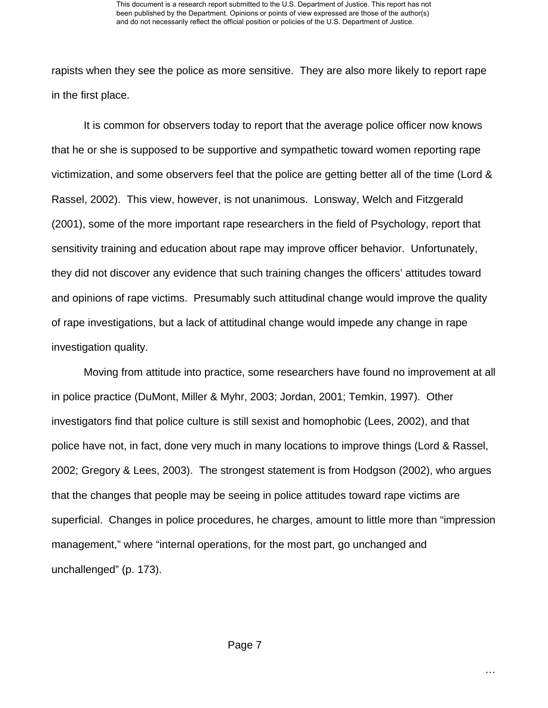rapists when they see the police as more sensitive. They are also more likely to report rape in the first place.

It is common for observers today to report that the average police officer now knows that he or she is supposed to be supportive and sympathetic toward women reporting rape victimization, and some observers feel that the police are getting better all of the time (Lord & Rassel, 2002). This view, however, is not unanimous. Lonsway, Welch and Fitzgerald (2001), some of the more important rape researchers in the field of Psychology, report that sensitivity training and education about rape may improve officer behavior. Unfortunately, they did not discover any evidence that such training changes the officers' attitudes toward and opinions of rape victims. Presumably such attitudinal change would improve the quality of rape investigations, but a lack of attitudinal change would impede any change in rape investigation quality.

Moving from attitude into practice, some researchers have found no improvement at all in police practice (DuMont, Miller & Myhr, 2003; Jordan, 2001; Temkin, 1997). Other investigators find that police culture is still sexist and homophobic (Lees, 2002), and that police have not, in fact, done very much in many locations to improve things (Lord & Rassel, 2002; Gregory & Lees, 2003). The strongest statement is from Hodgson (2002), who argues that the changes that people may be seeing in police attitudes toward rape victims are superficial. Changes in police procedures, he charges, amount to little more than "impression management," where "internal operations, for the most part, go unchanged and unchallenged" (p. 173).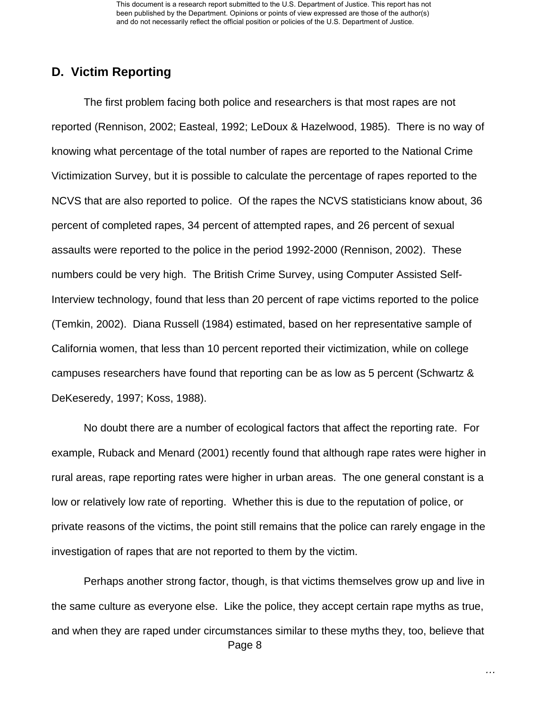This document is a research report submitted to the U.S. Department of Justice. This report has not been published by the Department. Opinions or points of view expressed are those of the author(s) and do not necessarily reflect the official position or policies of the U.S. Department of Justice.

## **D. Victim Reporting**

The first problem facing both police and researchers is that most rapes are not reported (Rennison, 2002; Easteal, 1992; LeDoux & Hazelwood, 1985). There is no way of knowing what percentage of the total number of rapes are reported to the National Crime Victimization Survey, but it is possible to calculate the percentage of rapes reported to the NCVS that are also reported to police. Of the rapes the NCVS statisticians know about, 36 percent of completed rapes, 34 percent of attempted rapes, and 26 percent of sexual assaults were reported to the police in the period 1992-2000 (Rennison, 2002). These numbers could be very high. The British Crime Survey, using Computer Assisted Self-Interview technology, found that less than 20 percent of rape victims reported to the police (Temkin, 2002). Diana Russell (1984) estimated, based on her representative sample of California women, that less than 10 percent reported their victimization, while on college campuses researchers have found that reporting can be as low as 5 percent (Schwartz & DeKeseredy, 1997; Koss, 1988).

No doubt there are a number of ecological factors that affect the reporting rate. For example, Ruback and Menard (2001) recently found that although rape rates were higher in rural areas, rape reporting rates were higher in urban areas. The one general constant is a low or relatively low rate of reporting. Whether this is due to the reputation of police, or private reasons of the victims, the point still remains that the police can rarely engage in the investigation of rapes that are not reported to them by the victim.

 Page 8 Perhaps another strong factor, though, is that victims themselves grow up and live in the same culture as everyone else. Like the police, they accept certain rape myths as true, and when they are raped under circumstances similar to these myths they, too, believe that

*…*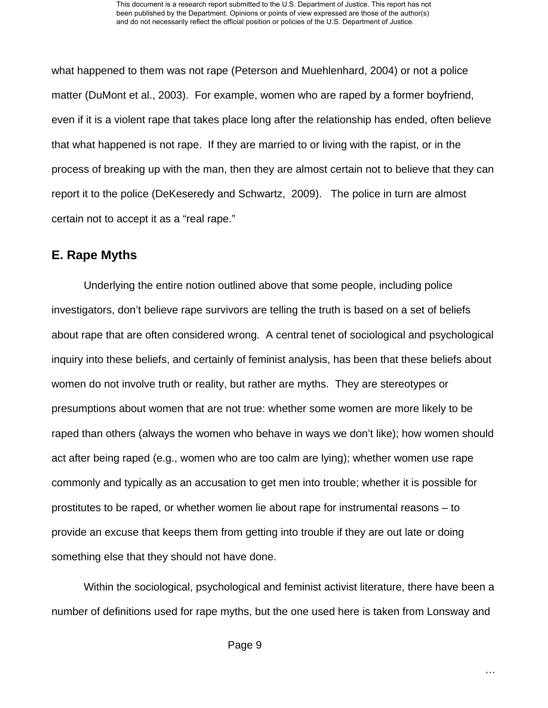what happened to them was not rape (Peterson and Muehlenhard, 2004) or not a police matter (DuMont et al., 2003). For example, women who are raped by a former boyfriend, even if it is a violent rape that takes place long after the relationship has ended, often believe that what happened is not rape. If they are married to or living with the rapist, or in the process of breaking up with the man, then they are almost certain not to believe that they can report it to the police (DeKeseredy and Schwartz, 2009). The police in turn are almost certain not to accept it as a "real rape."

## **E. Rape Myths**

Underlying the entire notion outlined above that some people, including police investigators, don't believe rape survivors are telling the truth is based on a set of beliefs about rape that are often considered wrong. A central tenet of sociological and psychological inquiry into these beliefs, and certainly of feminist analysis, has been that these beliefs about women do not involve truth or reality, but rather are myths. They are stereotypes or presumptions about women that are not true: whether some women are more likely to be raped than others (always the women who behave in ways we don't like); how women should act after being raped (e.g., women who are too calm are lying); whether women use rape commonly and typically as an accusation to get men into trouble; whether it is possible for prostitutes to be raped, or whether women lie about rape for instrumental reasons – to provide an excuse that keeps them from getting into trouble if they are out late or doing something else that they should not have done.

Within the sociological, psychological and feminist activist literature, there have been a number of definitions used for rape myths, but the one used here is taken from Lonsway and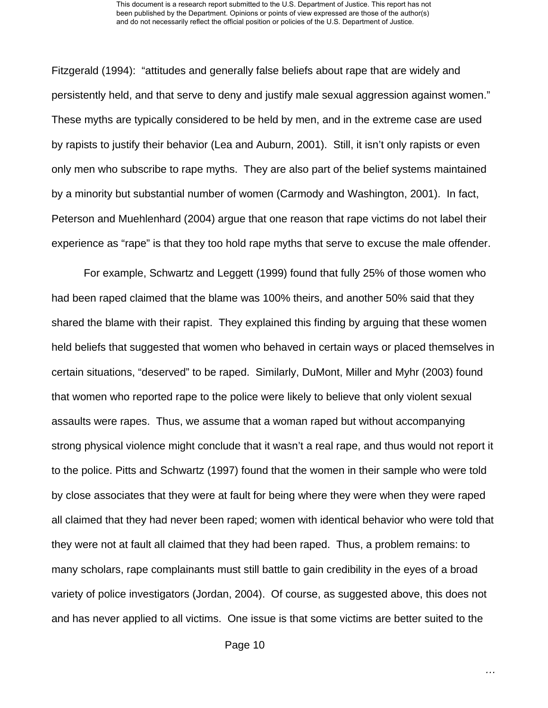#### This document is a research report submitted to the U.S. Department of Justice. This report has not been published by the Department. Opinions or points of view expressed are those of the author(s) and do not necessarily reflect the official position or policies of the U.S. Department of Justice.

Fitzgerald (1994): "attitudes and generally false beliefs about rape that are widely and persistently held, and that serve to deny and justify male sexual aggression against women." These myths are typically considered to be held by men, and in the extreme case are used by rapists to justify their behavior (Lea and Auburn, 2001). Still, it isn't only rapists or even only men who subscribe to rape myths. They are also part of the belief systems maintained by a minority but substantial number of women (Carmody and Washington, 2001). In fact, Peterson and Muehlenhard (2004) argue that one reason that rape victims do not label their experience as "rape" is that they too hold rape myths that serve to excuse the male offender.

For example, Schwartz and Leggett (1999) found that fully 25% of those women who had been raped claimed that the blame was 100% theirs, and another 50% said that they shared the blame with their rapist. They explained this finding by arguing that these women held beliefs that suggested that women who behaved in certain ways or placed themselves in certain situations, "deserved" to be raped. Similarly, DuMont, Miller and Myhr (2003) found that women who reported rape to the police were likely to believe that only violent sexual assaults were rapes. Thus, we assume that a woman raped but without accompanying strong physical violence might conclude that it wasn't a real rape, and thus would not report it to the police. Pitts and Schwartz (1997) found that the women in their sample who were told by close associates that they were at fault for being where they were when they were raped all claimed that they had never been raped; women with identical behavior who were told that they were not at fault all claimed that they had been raped. Thus, a problem remains: to many scholars, rape complainants must still battle to gain credibility in the eyes of a broad variety of police investigators (Jordan, 2004). Of course, as suggested above, this does not and has never applied to all victims. One issue is that some victims are better suited to the

*…*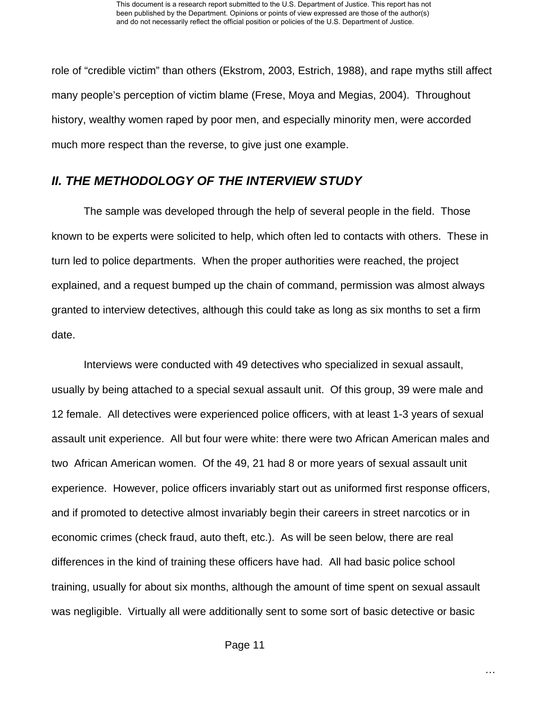role of "credible victim" than others (Ekstrom, 2003, Estrich, 1988), and rape myths still affect many people's perception of victim blame (Frese, Moya and Megias, 2004). Throughout history, wealthy women raped by poor men, and especially minority men, were accorded much more respect than the reverse, to give just one example.

# *II. THE METHODOLOGY OF THE INTERVIEW STUDY*

The sample was developed through the help of several people in the field. Those known to be experts were solicited to help, which often led to contacts with others. These in turn led to police departments. When the proper authorities were reached, the project explained, and a request bumped up the chain of command, permission was almost always granted to interview detectives, although this could take as long as six months to set a firm date.

Interviews were conducted with 49 detectives who specialized in sexual assault, usually by being attached to a special sexual assault unit. Of this group, 39 were male and 12 female. All detectives were experienced police officers, with at least 1-3 years of sexual assault unit experience. All but four were white: there were two African American males and two African American women. Of the 49, 21 had 8 or more years of sexual assault unit experience. However, police officers invariably start out as uniformed first response officers, and if promoted to detective almost invariably begin their careers in street narcotics or in economic crimes (check fraud, auto theft, etc.). As will be seen below, there are real differences in the kind of training these officers have had. All had basic police school training, usually for about six months, although the amount of time spent on sexual assault was negligible. Virtually all were additionally sent to some sort of basic detective or basic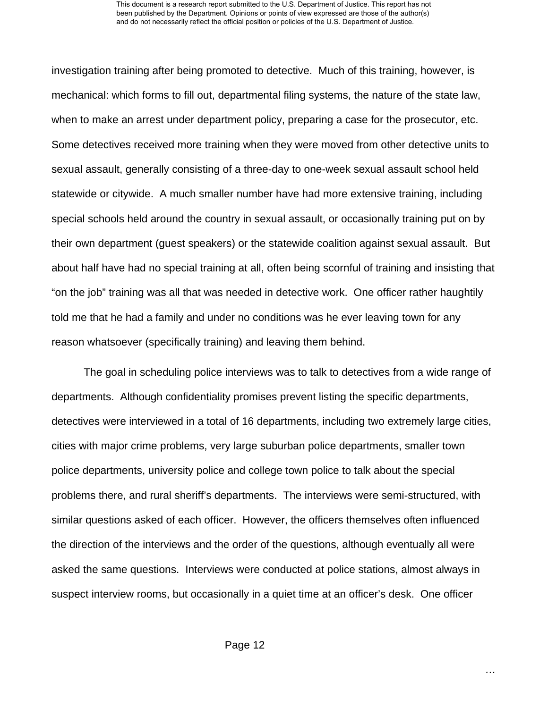investigation training after being promoted to detective. Much of this training, however, is mechanical: which forms to fill out, departmental filing systems, the nature of the state law, when to make an arrest under department policy, preparing a case for the prosecutor, etc. Some detectives received more training when they were moved from other detective units to sexual assault, generally consisting of a three-day to one-week sexual assault school held statewide or citywide. A much smaller number have had more extensive training, including special schools held around the country in sexual assault, or occasionally training put on by their own department (guest speakers) or the statewide coalition against sexual assault. But about half have had no special training at all, often being scornful of training and insisting that "on the job" training was all that was needed in detective work. One officer rather haughtily told me that he had a family and under no conditions was he ever leaving town for any reason whatsoever (specifically training) and leaving them behind.

The goal in scheduling police interviews was to talk to detectives from a wide range of departments. Although confidentiality promises prevent listing the specific departments, detectives were interviewed in a total of 16 departments, including two extremely large cities, cities with major crime problems, very large suburban police departments, smaller town police departments, university police and college town police to talk about the special problems there, and rural sheriff's departments. The interviews were semi-structured, with similar questions asked of each officer. However, the officers themselves often influenced the direction of the interviews and the order of the questions, although eventually all were asked the same questions. Interviews were conducted at police stations, almost always in suspect interview rooms, but occasionally in a quiet time at an officer's desk. One officer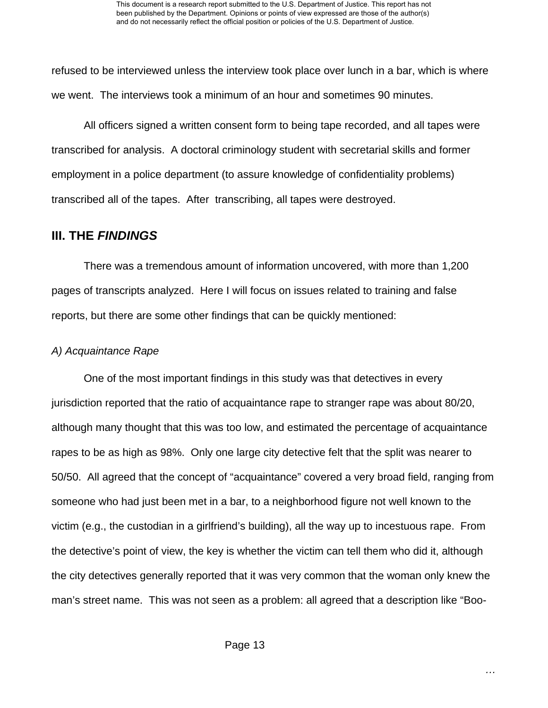refused to be interviewed unless the interview took place over lunch in a bar, which is where we went. The interviews took a minimum of an hour and sometimes 90 minutes.

All officers signed a written consent form to being tape recorded, and all tapes were transcribed for analysis. A doctoral criminology student with secretarial skills and former employment in a police department (to assure knowledge of confidentiality problems) transcribed all of the tapes. After transcribing, all tapes were destroyed.

## **III. THE** *FINDINGS*

There was a tremendous amount of information uncovered, with more than 1,200 pages of transcripts analyzed. Here I will focus on issues related to training and false reports, but there are some other findings that can be quickly mentioned:

## *A) Acquaintance Rape*

One of the most important findings in this study was that detectives in every jurisdiction reported that the ratio of acquaintance rape to stranger rape was about 80/20, although many thought that this was too low, and estimated the percentage of acquaintance rapes to be as high as 98%. Only one large city detective felt that the split was nearer to 50/50. All agreed that the concept of "acquaintance" covered a very broad field, ranging from someone who had just been met in a bar, to a neighborhood figure not well known to the victim (e.g., the custodian in a girlfriend's building), all the way up to incestuous rape. From the detective's point of view, the key is whether the victim can tell them who did it, although the city detectives generally reported that it was very common that the woman only knew the man's street name. This was not seen as a problem: all agreed that a description like "Boo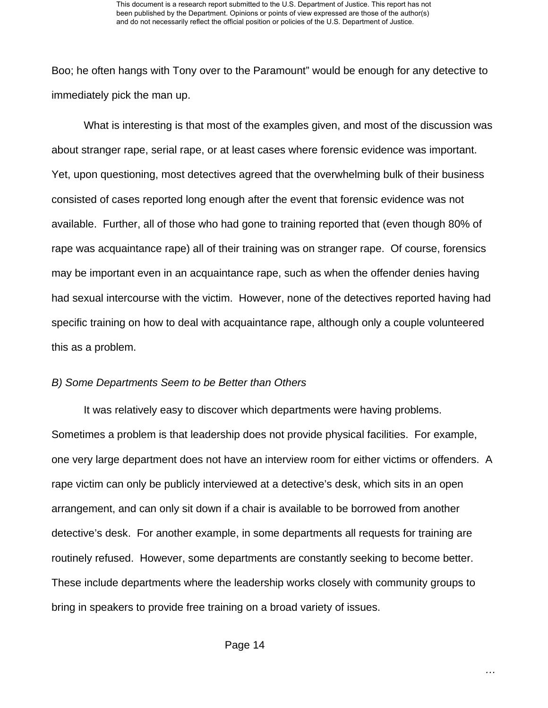Boo; he often hangs with Tony over to the Paramount" would be enough for any detective to immediately pick the man up.

What is interesting is that most of the examples given, and most of the discussion was about stranger rape, serial rape, or at least cases where forensic evidence was important. Yet, upon questioning, most detectives agreed that the overwhelming bulk of their business consisted of cases reported long enough after the event that forensic evidence was not available. Further, all of those who had gone to training reported that (even though 80% of rape was acquaintance rape) all of their training was on stranger rape. Of course, forensics may be important even in an acquaintance rape, such as when the offender denies having had sexual intercourse with the victim. However, none of the detectives reported having had specific training on how to deal with acquaintance rape, although only a couple volunteered this as a problem.

#### *B) Some Departments Seem to be Better than Others*

It was relatively easy to discover which departments were having problems. Sometimes a problem is that leadership does not provide physical facilities. For example, one very large department does not have an interview room for either victims or offenders. A rape victim can only be publicly interviewed at a detective's desk, which sits in an open arrangement, and can only sit down if a chair is available to be borrowed from another detective's desk. For another example, in some departments all requests for training are routinely refused. However, some departments are constantly seeking to become better. These include departments where the leadership works closely with community groups to bring in speakers to provide free training on a broad variety of issues.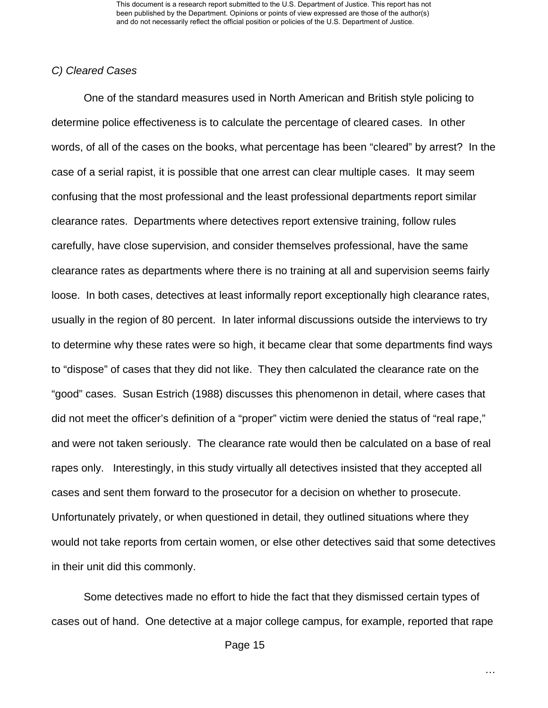This document is a research report submitted to the U.S. Department of Justice. This report has not been published by the Department. Opinions or points of view expressed are those of the author(s) and do not necessarily reflect the official position or policies of the U.S. Department of Justice.

#### *C) Cleared Cases*

One of the standard measures used in North American and British style policing to determine police effectiveness is to calculate the percentage of cleared cases. In other words, of all of the cases on the books, what percentage has been "cleared" by arrest? In the case of a serial rapist, it is possible that one arrest can clear multiple cases. It may seem confusing that the most professional and the least professional departments report similar clearance rates. Departments where detectives report extensive training, follow rules carefully, have close supervision, and consider themselves professional, have the same clearance rates as departments where there is no training at all and supervision seems fairly loose. In both cases, detectives at least informally report exceptionally high clearance rates, usually in the region of 80 percent. In later informal discussions outside the interviews to try to determine why these rates were so high, it became clear that some departments find ways to "dispose" of cases that they did not like. They then calculated the clearance rate on the "good" cases. Susan Estrich (1988) discusses this phenomenon in detail, where cases that did not meet the officer's definition of a "proper" victim were denied the status of "real rape," and were not taken seriously. The clearance rate would then be calculated on a base of real rapes only. Interestingly, in this study virtually all detectives insisted that they accepted all cases and sent them forward to the prosecutor for a decision on whether to prosecute. Unfortunately privately, or when questioned in detail, they outlined situations where they would not take reports from certain women, or else other detectives said that some detectives in their unit did this commonly.

Some detectives made no effort to hide the fact that they dismissed certain types of cases out of hand. One detective at a major college campus, for example, reported that rape

Page 15

*…*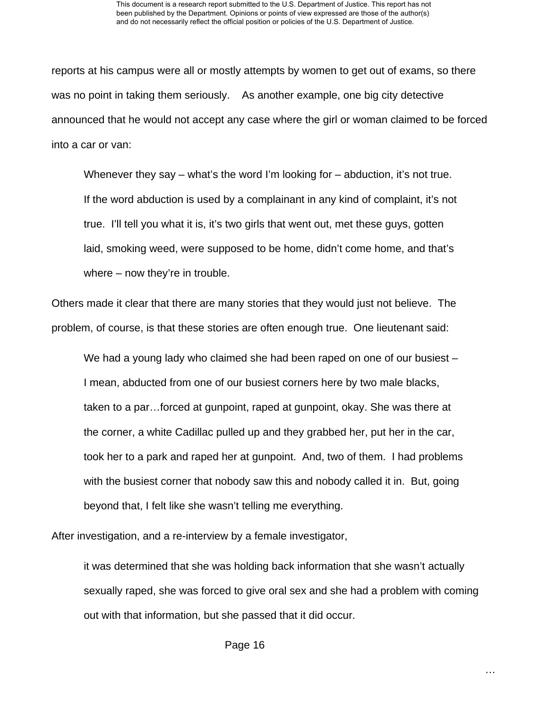reports at his campus were all or mostly attempts by women to get out of exams, so there was no point in taking them seriously. As another example, one big city detective announced that he would not accept any case where the girl or woman claimed to be forced into a car or van:

Whenever they say – what's the word I'm looking for – abduction, it's not true. If the word abduction is used by a complainant in any kind of complaint, it's not true. I'll tell you what it is, it's two girls that went out, met these guys, gotten laid, smoking weed, were supposed to be home, didn't come home, and that's where – now they're in trouble.

Others made it clear that there are many stories that they would just not believe. The problem, of course, is that these stories are often enough true. One lieutenant said:

We had a young lady who claimed she had been raped on one of our busiest – I mean, abducted from one of our busiest corners here by two male blacks, taken to a par…forced at gunpoint, raped at gunpoint, okay. She was there at the corner, a white Cadillac pulled up and they grabbed her, put her in the car, took her to a park and raped her at gunpoint. And, two of them. I had problems with the busiest corner that nobody saw this and nobody called it in. But, going beyond that, I felt like she wasn't telling me everything.

After investigation, and a re-interview by a female investigator,

it was determined that she was holding back information that she wasn't actually sexually raped, she was forced to give oral sex and she had a problem with coming out with that information, but she passed that it did occur.

Page 16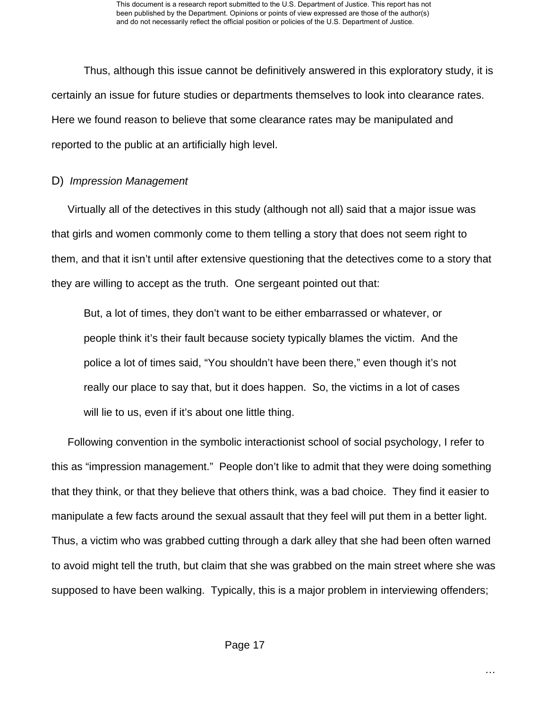Thus, although this issue cannot be definitively answered in this exploratory study, it is certainly an issue for future studies or departments themselves to look into clearance rates. Here we found reason to believe that some clearance rates may be manipulated and reported to the public at an artificially high level.

### D) *Impression Management*

Virtually all of the detectives in this study (although not all) said that a major issue was that girls and women commonly come to them telling a story that does not seem right to them, and that it isn't until after extensive questioning that the detectives come to a story that they are willing to accept as the truth. One sergeant pointed out that:

But, a lot of times, they don't want to be either embarrassed or whatever, or people think it's their fault because society typically blames the victim. And the police a lot of times said, "You shouldn't have been there," even though it's not really our place to say that, but it does happen. So, the victims in a lot of cases will lie to us, even if it's about one little thing.

Following convention in the symbolic interactionist school of social psychology, I refer to this as "impression management." People don't like to admit that they were doing something that they think, or that they believe that others think, was a bad choice. They find it easier to manipulate a few facts around the sexual assault that they feel will put them in a better light. Thus, a victim who was grabbed cutting through a dark alley that she had been often warned to avoid might tell the truth, but claim that she was grabbed on the main street where she was supposed to have been walking. Typically, this is a major problem in interviewing offenders;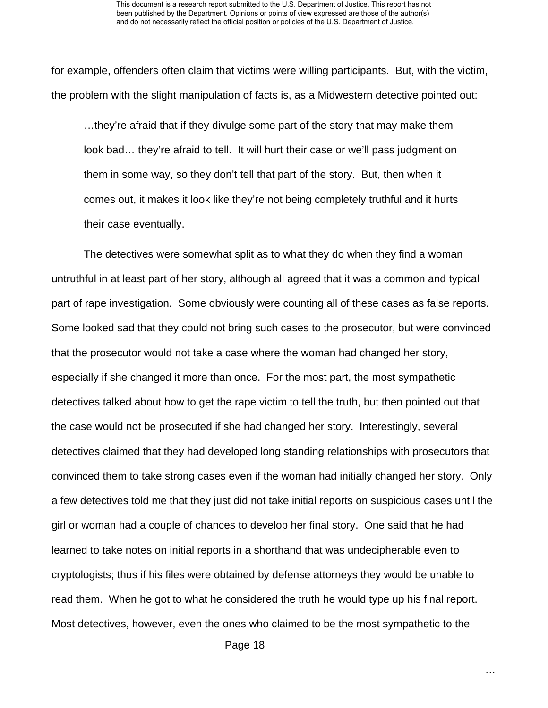for example, offenders often claim that victims were willing participants. But, with the victim, the problem with the slight manipulation of facts is, as a Midwestern detective pointed out:

…they're afraid that if they divulge some part of the story that may make them look bad… they're afraid to tell. It will hurt their case or we'll pass judgment on them in some way, so they don't tell that part of the story. But, then when it comes out, it makes it look like they're not being completely truthful and it hurts their case eventually.

The detectives were somewhat split as to what they do when they find a woman untruthful in at least part of her story, although all agreed that it was a common and typical part of rape investigation. Some obviously were counting all of these cases as false reports. Some looked sad that they could not bring such cases to the prosecutor, but were convinced that the prosecutor would not take a case where the woman had changed her story, especially if she changed it more than once. For the most part, the most sympathetic detectives talked about how to get the rape victim to tell the truth, but then pointed out that the case would not be prosecuted if she had changed her story. Interestingly, several detectives claimed that they had developed long standing relationships with prosecutors that convinced them to take strong cases even if the woman had initially changed her story. Only a few detectives told me that they just did not take initial reports on suspicious cases until the girl or woman had a couple of chances to develop her final story. One said that he had learned to take notes on initial reports in a shorthand that was undecipherable even to cryptologists; thus if his files were obtained by defense attorneys they would be unable to read them. When he got to what he considered the truth he would type up his final report. Most detectives, however, even the ones who claimed to be the most sympathetic to the

Page 18

*…*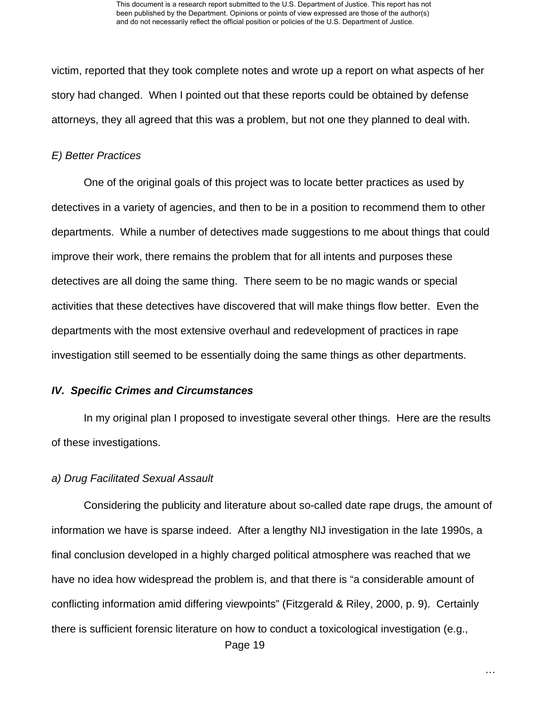victim, reported that they took complete notes and wrote up a report on what aspects of her story had changed. When I pointed out that these reports could be obtained by defense attorneys, they all agreed that this was a problem, but not one they planned to deal with.

#### *E) Better Practices*

One of the original goals of this project was to locate better practices as used by detectives in a variety of agencies, and then to be in a position to recommend them to other departments. While a number of detectives made suggestions to me about things that could improve their work, there remains the problem that for all intents and purposes these detectives are all doing the same thing. There seem to be no magic wands or special activities that these detectives have discovered that will make things flow better. Even the departments with the most extensive overhaul and redevelopment of practices in rape investigation still seemed to be essentially doing the same things as other departments.

#### *IV. Specific Crimes and Circumstances*

In my original plan I proposed to investigate several other things. Here are the results of these investigations.

#### *a) Drug Facilitated Sexual Assault*

 Page 19 Considering the publicity and literature about so-called date rape drugs, the amount of information we have is sparse indeed. After a lengthy NIJ investigation in the late 1990s, a final conclusion developed in a highly charged political atmosphere was reached that we have no idea how widespread the problem is, and that there is "a considerable amount of conflicting information amid differing viewpoints" (Fitzgerald & Riley, 2000, p. 9). Certainly there is sufficient forensic literature on how to conduct a toxicological investigation (e.g.,

*…*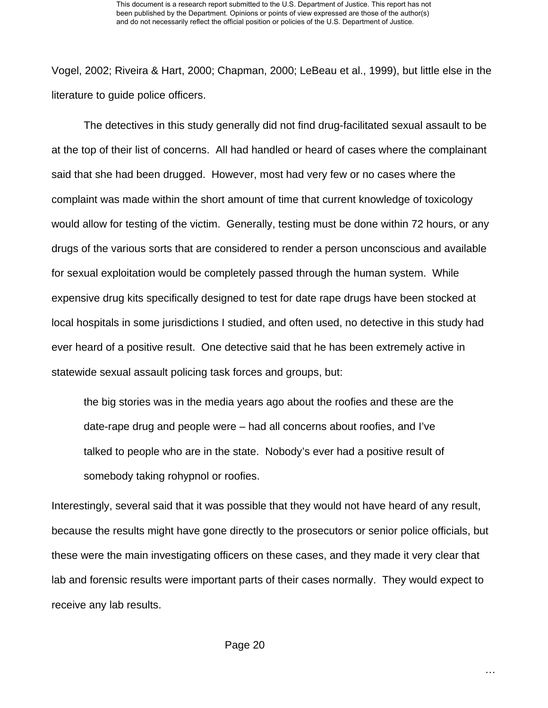Vogel, 2002; Riveira & Hart, 2000; Chapman, 2000; LeBeau et al., 1999), but little else in the literature to guide police officers.

The detectives in this study generally did not find drug-facilitated sexual assault to be at the top of their list of concerns. All had handled or heard of cases where the complainant said that she had been drugged. However, most had very few or no cases where the complaint was made within the short amount of time that current knowledge of toxicology would allow for testing of the victim. Generally, testing must be done within 72 hours, or any drugs of the various sorts that are considered to render a person unconscious and available for sexual exploitation would be completely passed through the human system. While expensive drug kits specifically designed to test for date rape drugs have been stocked at local hospitals in some jurisdictions I studied, and often used, no detective in this study had ever heard of a positive result. One detective said that he has been extremely active in statewide sexual assault policing task forces and groups, but:

the big stories was in the media years ago about the roofies and these are the date-rape drug and people were – had all concerns about roofies, and I've talked to people who are in the state. Nobody's ever had a positive result of somebody taking rohypnol or roofies.

Interestingly, several said that it was possible that they would not have heard of any result, because the results might have gone directly to the prosecutors or senior police officials, but these were the main investigating officers on these cases, and they made it very clear that lab and forensic results were important parts of their cases normally. They would expect to receive any lab results.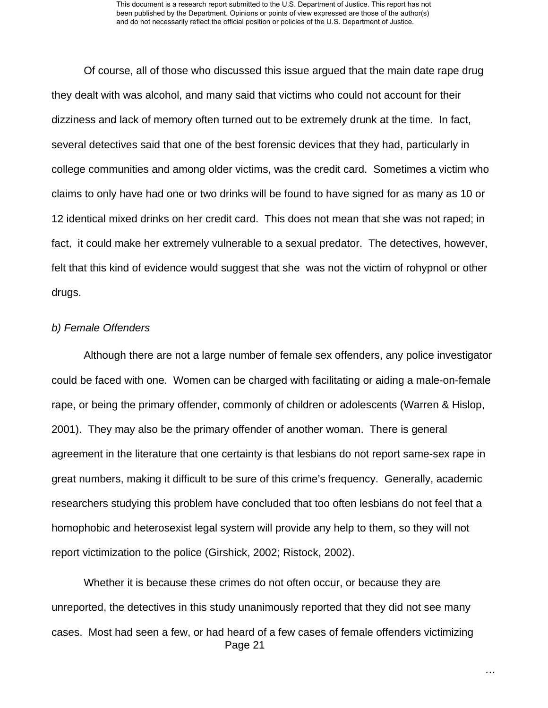Of course, all of those who discussed this issue argued that the main date rape drug they dealt with was alcohol, and many said that victims who could not account for their dizziness and lack of memory often turned out to be extremely drunk at the time. In fact, several detectives said that one of the best forensic devices that they had, particularly in college communities and among older victims, was the credit card. Sometimes a victim who claims to only have had one or two drinks will be found to have signed for as many as 10 or 12 identical mixed drinks on her credit card. This does not mean that she was not raped; in fact, it could make her extremely vulnerable to a sexual predator. The detectives, however, felt that this kind of evidence would suggest that she was not the victim of rohypnol or other drugs.

#### *b) Female Offenders*

Although there are not a large number of female sex offenders, any police investigator could be faced with one. Women can be charged with facilitating or aiding a male-on-female rape, or being the primary offender, commonly of children or adolescents (Warren & Hislop, 2001). They may also be the primary offender of another woman. There is general agreement in the literature that one certainty is that lesbians do not report same-sex rape in great numbers, making it difficult to be sure of this crime's frequency. Generally, academic researchers studying this problem have concluded that too often lesbians do not feel that a homophobic and heterosexist legal system will provide any help to them, so they will not report victimization to the police (Girshick, 2002; Ristock, 2002).

 Page 21 Whether it is because these crimes do not often occur, or because they are unreported, the detectives in this study unanimously reported that they did not see many cases. Most had seen a few, or had heard of a few cases of female offenders victimizing

*…*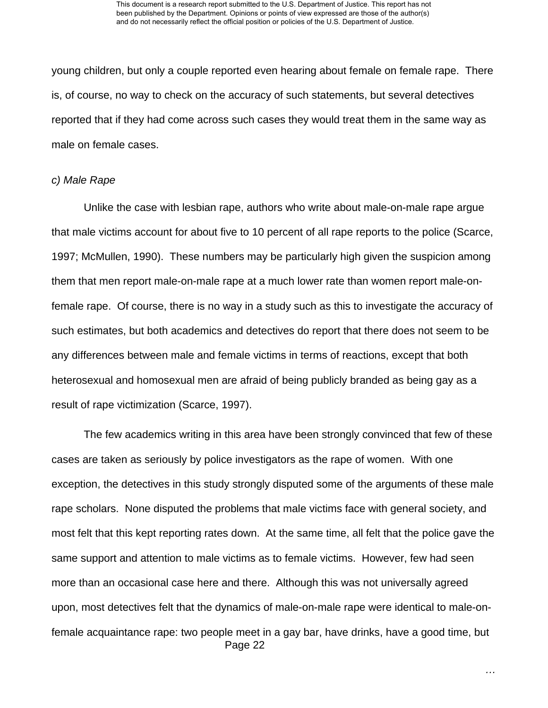young children, but only a couple reported even hearing about female on female rape. There is, of course, no way to check on the accuracy of such statements, but several detectives reported that if they had come across such cases they would treat them in the same way as male on female cases.

#### *c) Male Rape*

Unlike the case with lesbian rape, authors who write about male-on-male rape argue that male victims account for about five to 10 percent of all rape reports to the police (Scarce, 1997; McMullen, 1990). These numbers may be particularly high given the suspicion among them that men report male-on-male rape at a much lower rate than women report male-onfemale rape. Of course, there is no way in a study such as this to investigate the accuracy of such estimates, but both academics and detectives do report that there does not seem to be any differences between male and female victims in terms of reactions, except that both heterosexual and homosexual men are afraid of being publicly branded as being gay as a result of rape victimization (Scarce, 1997).

 Page 22 The few academics writing in this area have been strongly convinced that few of these cases are taken as seriously by police investigators as the rape of women. With one exception, the detectives in this study strongly disputed some of the arguments of these male rape scholars. None disputed the problems that male victims face with general society, and most felt that this kept reporting rates down. At the same time, all felt that the police gave the same support and attention to male victims as to female victims. However, few had seen more than an occasional case here and there. Although this was not universally agreed upon, most detectives felt that the dynamics of male-on-male rape were identical to male-onfemale acquaintance rape: two people meet in a gay bar, have drinks, have a good time, but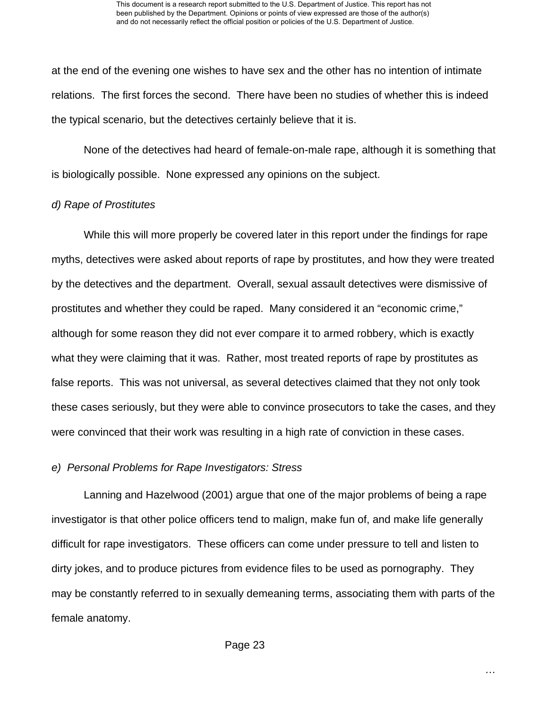at the end of the evening one wishes to have sex and the other has no intention of intimate relations. The first forces the second. There have been no studies of whether this is indeed the typical scenario, but the detectives certainly believe that it is.

None of the detectives had heard of female-on-male rape, although it is something that is biologically possible. None expressed any opinions on the subject.

#### *d) Rape of Prostitutes*

While this will more properly be covered later in this report under the findings for rape myths, detectives were asked about reports of rape by prostitutes, and how they were treated by the detectives and the department. Overall, sexual assault detectives were dismissive of prostitutes and whether they could be raped. Many considered it an "economic crime," although for some reason they did not ever compare it to armed robbery, which is exactly what they were claiming that it was. Rather, most treated reports of rape by prostitutes as false reports. This was not universal, as several detectives claimed that they not only took these cases seriously, but they were able to convince prosecutors to take the cases, and they were convinced that their work was resulting in a high rate of conviction in these cases.

#### *e) Personal Problems for Rape Investigators: Stress*

Lanning and Hazelwood (2001) argue that one of the major problems of being a rape investigator is that other police officers tend to malign, make fun of, and make life generally difficult for rape investigators. These officers can come under pressure to tell and listen to dirty jokes, and to produce pictures from evidence files to be used as pornography. They may be constantly referred to in sexually demeaning terms, associating them with parts of the female anatomy.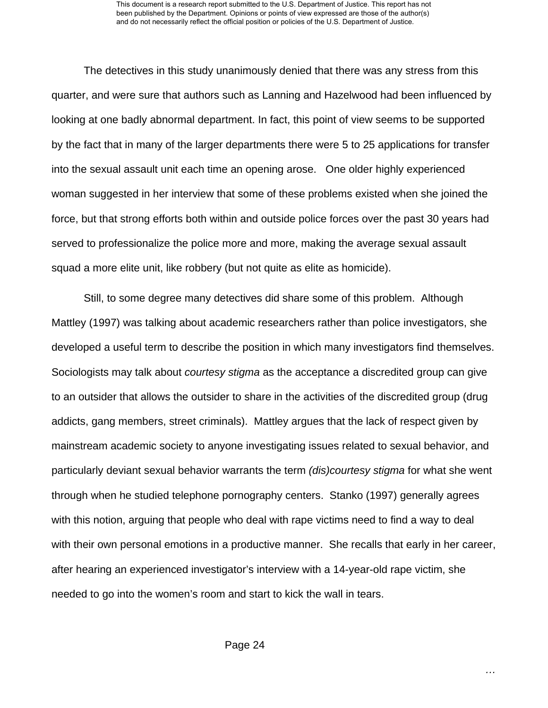The detectives in this study unanimously denied that there was any stress from this quarter, and were sure that authors such as Lanning and Hazelwood had been influenced by looking at one badly abnormal department. In fact, this point of view seems to be supported by the fact that in many of the larger departments there were 5 to 25 applications for transfer into the sexual assault unit each time an opening arose. One older highly experienced woman suggested in her interview that some of these problems existed when she joined the force, but that strong efforts both within and outside police forces over the past 30 years had served to professionalize the police more and more, making the average sexual assault squad a more elite unit, like robbery (but not quite as elite as homicide).

Still, to some degree many detectives did share some of this problem. Although Mattley (1997) was talking about academic researchers rather than police investigators, she developed a useful term to describe the position in which many investigators find themselves. Sociologists may talk about *courtesy stigma* as the acceptance a discredited group can give to an outsider that allows the outsider to share in the activities of the discredited group (drug addicts, gang members, street criminals). Mattley argues that the lack of respect given by mainstream academic society to anyone investigating issues related to sexual behavior, and particularly deviant sexual behavior warrants the term *(dis)courtesy stigma* for what she went through when he studied telephone pornography centers. Stanko (1997) generally agrees with this notion, arguing that people who deal with rape victims need to find a way to deal with their own personal emotions in a productive manner. She recalls that early in her career, after hearing an experienced investigator's interview with a 14-year-old rape victim, she needed to go into the women's room and start to kick the wall in tears.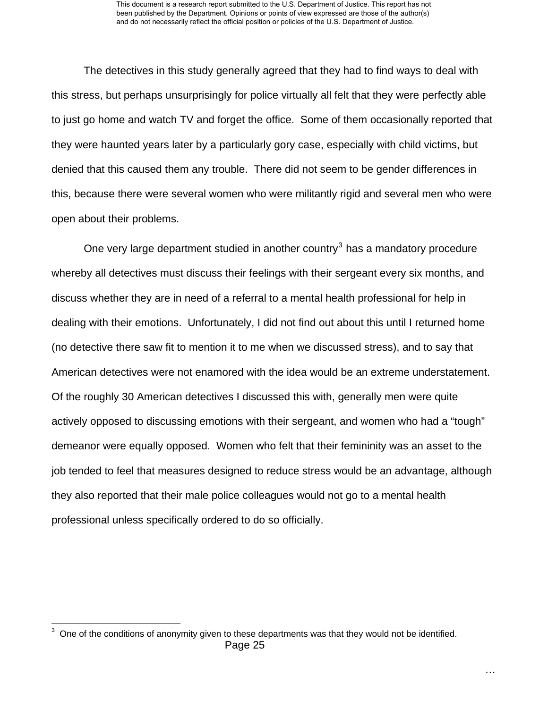The detectives in this study generally agreed that they had to find ways to deal with this stress, but perhaps unsurprisingly for police virtually all felt that they were perfectly able to just go home and watch TV and forget the office. Some of them occasionally reported that they were haunted years later by a particularly gory case, especially with child victims, but denied that this caused them any trouble. There did not seem to be gender differences in this, because there were several women who were militantly rigid and several men who were open about their problems.

One very large department studied in another country<sup>[3](#page-25-0)</sup> has a mandatory procedure whereby all detectives must discuss their feelings with their sergeant every six months, and discuss whether they are in need of a referral to a mental health professional for help in dealing with their emotions. Unfortunately, I did not find out about this until I returned home (no detective there saw fit to mention it to me when we discussed stress), and to say that American detectives were not enamored with the idea would be an extreme understatement. Of the roughly 30 American detectives I discussed this with, generally men were quite actively opposed to discussing emotions with their sergeant, and women who had a "tough" demeanor were equally opposed. Women who felt that their femininity was an asset to the job tended to feel that measures designed to reduce stress would be an advantage, although they also reported that their male police colleagues would not go to a mental health professional unless specifically ordered to do so officially.

<span id="page-25-0"></span>Page 25 **ENECT 2012**<br><sup>3</sup> One of the conditions of anonymity given to these departments was that they would not be identified.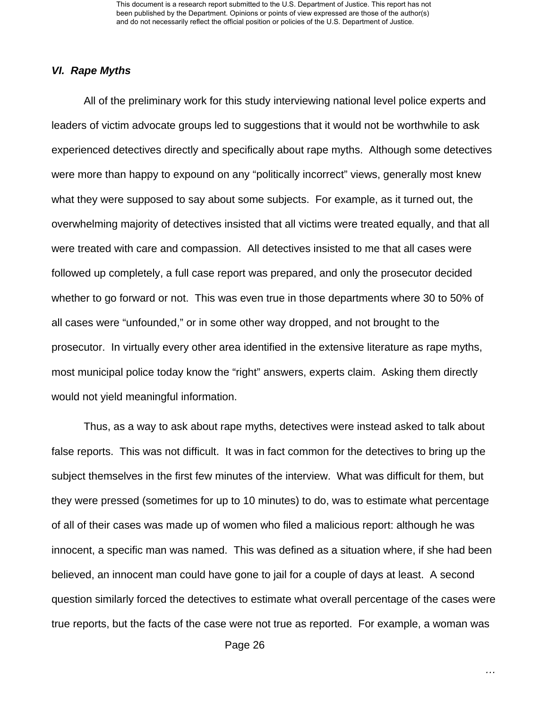This document is a research report submitted to the U.S. Department of Justice. This report has not been published by the Department. Opinions or points of view expressed are those of the author(s) and do not necessarily reflect the official position or policies of the U.S. Department of Justice.

#### *VI. Rape Myths*

All of the preliminary work for this study interviewing national level police experts and leaders of victim advocate groups led to suggestions that it would not be worthwhile to ask experienced detectives directly and specifically about rape myths. Although some detectives were more than happy to expound on any "politically incorrect" views, generally most knew what they were supposed to say about some subjects. For example, as it turned out, the overwhelming majority of detectives insisted that all victims were treated equally, and that all were treated with care and compassion. All detectives insisted to me that all cases were followed up completely, a full case report was prepared, and only the prosecutor decided whether to go forward or not. This was even true in those departments where 30 to 50% of all cases were "unfounded," or in some other way dropped, and not brought to the prosecutor. In virtually every other area identified in the extensive literature as rape myths, most municipal police today know the "right" answers, experts claim. Asking them directly would not yield meaningful information.

Thus, as a way to ask about rape myths, detectives were instead asked to talk about false reports. This was not difficult. It was in fact common for the detectives to bring up the subject themselves in the first few minutes of the interview. What was difficult for them, but they were pressed (sometimes for up to 10 minutes) to do, was to estimate what percentage of all of their cases was made up of women who filed a malicious report: although he was innocent, a specific man was named. This was defined as a situation where, if she had been believed, an innocent man could have gone to jail for a couple of days at least. A second question similarly forced the detectives to estimate what overall percentage of the cases were true reports, but the facts of the case were not true as reported. For example, a woman was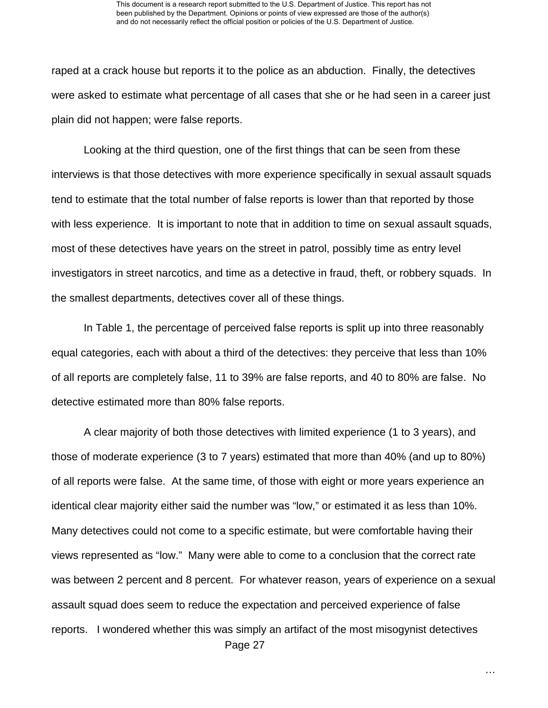raped at a crack house but reports it to the police as an abduction. Finally, the detectives were asked to estimate what percentage of all cases that she or he had seen in a career just plain did not happen; were false reports.

Looking at the third question, one of the first things that can be seen from these interviews is that those detectives with more experience specifically in sexual assault squads tend to estimate that the total number of false reports is lower than that reported by those with less experience. It is important to note that in addition to time on sexual assault squads, most of these detectives have years on the street in patrol, possibly time as entry level investigators in street narcotics, and time as a detective in fraud, theft, or robbery squads. In the smallest departments, detectives cover all of these things.

In Table 1, the percentage of perceived false reports is split up into three reasonably equal categories, each with about a third of the detectives: they perceive that less than 10% of all reports are completely false, 11 to 39% are false reports, and 40 to 80% are false. No detective estimated more than 80% false reports.

 Page 27 A clear majority of both those detectives with limited experience (1 to 3 years), and those of moderate experience (3 to 7 years) estimated that more than 40% (and up to 80%) of all reports were false. At the same time, of those with eight or more years experience an identical clear majority either said the number was "low," or estimated it as less than 10%. Many detectives could not come to a specific estimate, but were comfortable having their views represented as "low." Many were able to come to a conclusion that the correct rate was between 2 percent and 8 percent. For whatever reason, years of experience on a sexual assault squad does seem to reduce the expectation and perceived experience of false reports. I wondered whether this was simply an artifact of the most misogynist detectives

*…*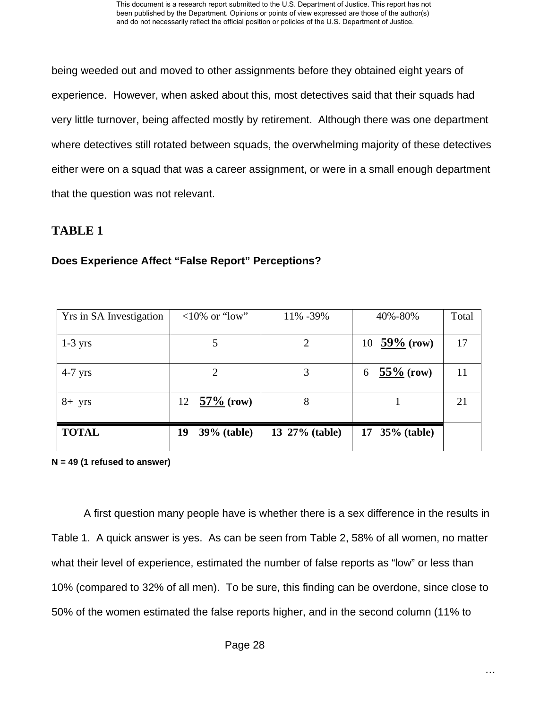being weeded out and moved to other assignments before they obtained eight years of experience. However, when asked about this, most detectives said that their squads had very little turnover, being affected mostly by retirement. Although there was one department where detectives still rotated between squads, the overwhelming majority of these detectives either were on a squad that was a career assignment, or were in a small enough department that the question was not relevant.

# **TABLE 1**

## **Does Experience Affect "False Report" Perceptions?**

| Yrs in SA Investigation | $<10\%$ or "low"         | 11% -39%       | 40%-80%           | Total |
|-------------------------|--------------------------|----------------|-------------------|-------|
| $1-3$ yrs               |                          | 2              | 10 $59\%$ (row)   | 17    |
| $4-7$ yrs               |                          | 3              | $55\%$ (row)<br>6 | 11    |
| $8+$ yrs                | $57\%$ (row)<br>12       | 8              |                   | 21    |
| <b>TOTAL</b>            | <b>39%</b> (table)<br>19 | 13 27% (table) | 17 35% (table)    |       |

**N = 49 (1 refused to answer)** 

A first question many people have is whether there is a sex difference in the results in Table 1. A quick answer is yes. As can be seen from Table 2, 58% of all women, no matter what their level of experience, estimated the number of false reports as "low" or less than 10% (compared to 32% of all men). To be sure, this finding can be overdone, since close to 50% of the women estimated the false reports higher, and in the second column (11% to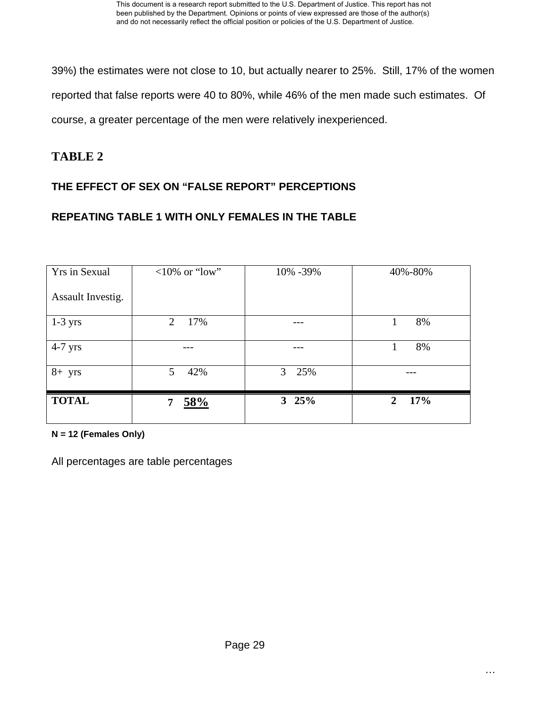39%) the estimates were not close to 10, but actually nearer to 25%. Still, 17% of the women reported that false reports were 40 to 80%, while 46% of the men made such estimates. Of course, a greater percentage of the men were relatively inexperienced.

# **TABLE 2**

# **THE EFFECT OF SEX ON "FALSE REPORT" PERCEPTIONS**

## **REPEATING TABLE 1 WITH ONLY FEMALES IN THE TABLE**

| Yrs in Sexual     | $<10\%$ or "low" | 10% -39%              | 40%-80%             |  |
|-------------------|------------------|-----------------------|---------------------|--|
| Assault Investig. |                  |                       |                     |  |
| $1-3$ yrs         | 17%<br>2         |                       | 8%                  |  |
| $4-7$ yrs         |                  |                       | 8%                  |  |
| $8+$ yrs          | 5<br>42%         | 3 <sup>7</sup><br>25% |                     |  |
| <b>TOTAL</b>      | 58%<br>7         | $3\;\;25\%$           | 17%<br>$\mathbf{2}$ |  |

**N = 12 (Females Only)** 

All percentages are table percentages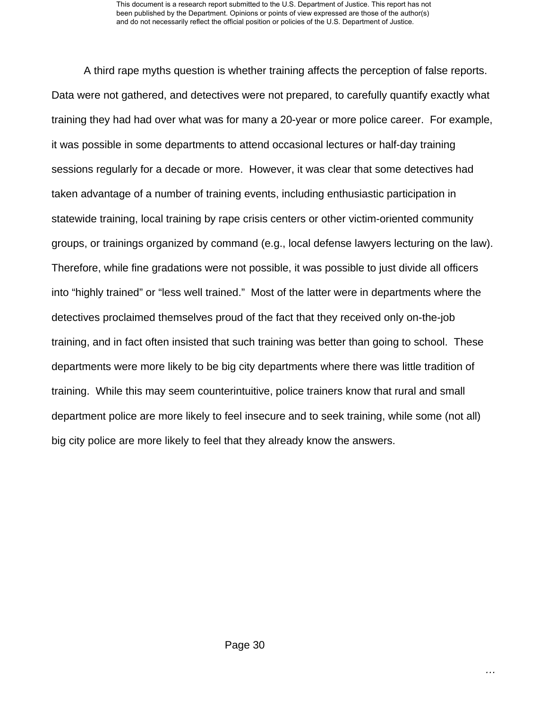A third rape myths question is whether training affects the perception of false reports. Data were not gathered, and detectives were not prepared, to carefully quantify exactly what training they had had over what was for many a 20-year or more police career. For example, it was possible in some departments to attend occasional lectures or half-day training sessions regularly for a decade or more. However, it was clear that some detectives had taken advantage of a number of training events, including enthusiastic participation in statewide training, local training by rape crisis centers or other victim-oriented community groups, or trainings organized by command (e.g., local defense lawyers lecturing on the law). Therefore, while fine gradations were not possible, it was possible to just divide all officers into "highly trained" or "less well trained." Most of the latter were in departments where the detectives proclaimed themselves proud of the fact that they received only on-the-job training, and in fact often insisted that such training was better than going to school. These departments were more likely to be big city departments where there was little tradition of training. While this may seem counterintuitive, police trainers know that rural and small department police are more likely to feel insecure and to seek training, while some (not all) big city police are more likely to feel that they already know the answers.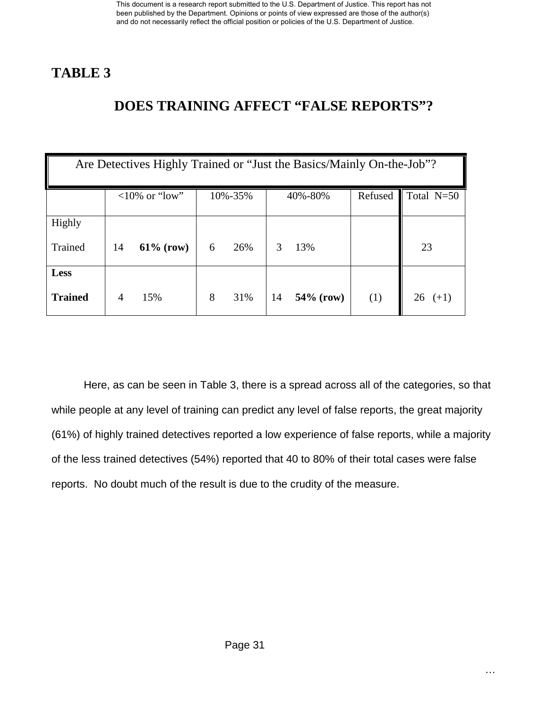# **TABLE 3**

# **DOES TRAINING AFFECT "FALSE REPORTS"?**

| Are Detectives Highly Trained or "Just the Basics/Mainly On-the-Job"? |    |                  |   |         |    |              |         |              |
|-----------------------------------------------------------------------|----|------------------|---|---------|----|--------------|---------|--------------|
|                                                                       |    | $<10\%$ or "low" |   | 10%-35% |    | 40%-80%      | Refused | Total $N=50$ |
| Highly                                                                |    |                  |   |         |    |              |         |              |
| Trained                                                               | 14 | $61\%$ (row)     | 6 | 26%     | 3  | 13%          |         | 23           |
| <b>Less</b>                                                           |    |                  |   |         |    |              |         |              |
| <b>Trained</b>                                                        | 4  | 15%              | 8 | 31%     | 14 | $54\%$ (row) | (1)     | 26<br>$(+1)$ |

Here, as can be seen in Table 3, there is a spread across all of the categories, so that while people at any level of training can predict any level of false reports, the great majority (61%) of highly trained detectives reported a low experience of false reports, while a majority of the less trained detectives (54%) reported that 40 to 80% of their total cases were false reports. No doubt much of the result is due to the crudity of the measure.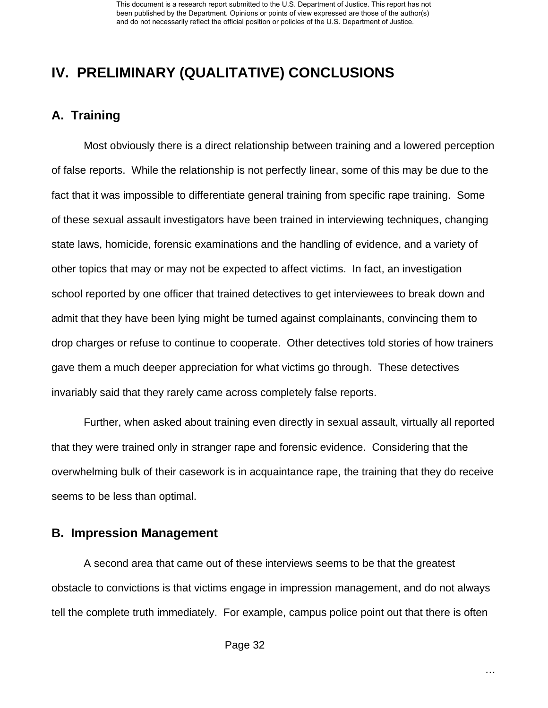# **IV. PRELIMINARY (QUALITATIVE) CONCLUSIONS**

# **A. Training**

Most obviously there is a direct relationship between training and a lowered perception of false reports. While the relationship is not perfectly linear, some of this may be due to the fact that it was impossible to differentiate general training from specific rape training. Some of these sexual assault investigators have been trained in interviewing techniques, changing state laws, homicide, forensic examinations and the handling of evidence, and a variety of other topics that may or may not be expected to affect victims. In fact, an investigation school reported by one officer that trained detectives to get interviewees to break down and admit that they have been lying might be turned against complainants, convincing them to drop charges or refuse to continue to cooperate. Other detectives told stories of how trainers gave them a much deeper appreciation for what victims go through. These detectives invariably said that they rarely came across completely false reports.

Further, when asked about training even directly in sexual assault, virtually all reported that they were trained only in stranger rape and forensic evidence. Considering that the overwhelming bulk of their casework is in acquaintance rape, the training that they do receive seems to be less than optimal.

## **B. Impression Management**

A second area that came out of these interviews seems to be that the greatest obstacle to convictions is that victims engage in impression management, and do not always tell the complete truth immediately. For example, campus police point out that there is often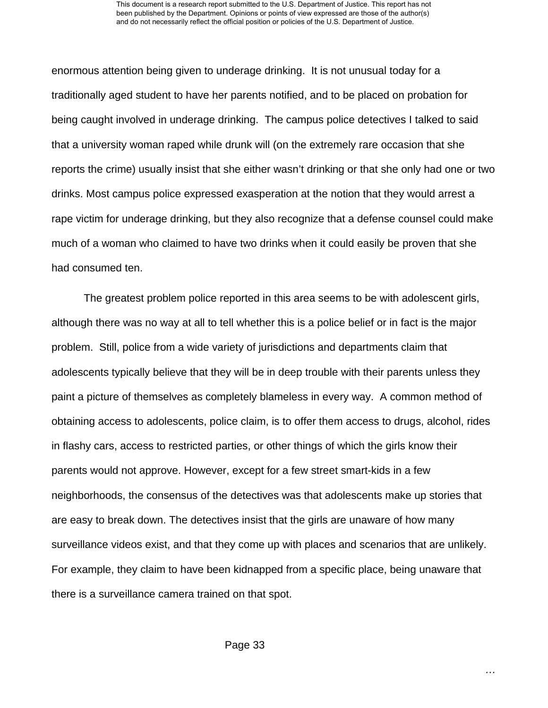enormous attention being given to underage drinking. It is not unusual today for a traditionally aged student to have her parents notified, and to be placed on probation for being caught involved in underage drinking. The campus police detectives I talked to said that a university woman raped while drunk will (on the extremely rare occasion that she reports the crime) usually insist that she either wasn't drinking or that she only had one or two drinks. Most campus police expressed exasperation at the notion that they would arrest a rape victim for underage drinking, but they also recognize that a defense counsel could make much of a woman who claimed to have two drinks when it could easily be proven that she had consumed ten.

The greatest problem police reported in this area seems to be with adolescent girls, although there was no way at all to tell whether this is a police belief or in fact is the major problem. Still, police from a wide variety of jurisdictions and departments claim that adolescents typically believe that they will be in deep trouble with their parents unless they paint a picture of themselves as completely blameless in every way. A common method of obtaining access to adolescents, police claim, is to offer them access to drugs, alcohol, rides in flashy cars, access to restricted parties, or other things of which the girls know their parents would not approve. However, except for a few street smart-kids in a few neighborhoods, the consensus of the detectives was that adolescents make up stories that are easy to break down. The detectives insist that the girls are unaware of how many surveillance videos exist, and that they come up with places and scenarios that are unlikely. For example, they claim to have been kidnapped from a specific place, being unaware that there is a surveillance camera trained on that spot.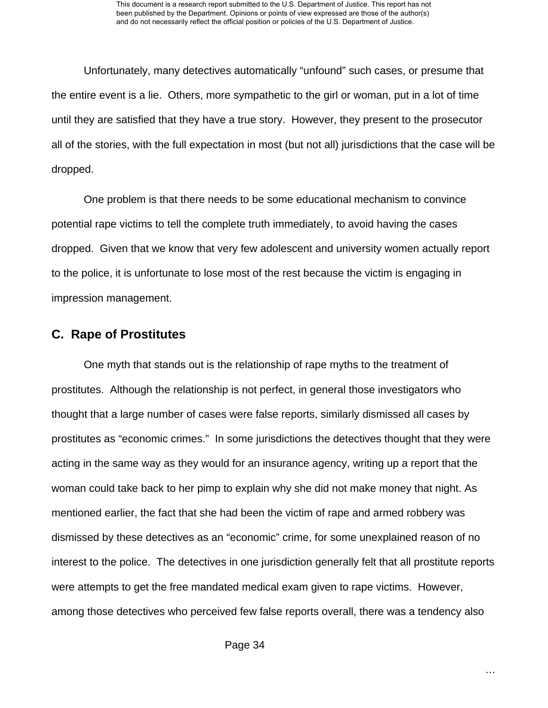Unfortunately, many detectives automatically "unfound" such cases, or presume that the entire event is a lie. Others, more sympathetic to the girl or woman, put in a lot of time until they are satisfied that they have a true story. However, they present to the prosecutor all of the stories, with the full expectation in most (but not all) jurisdictions that the case will be dropped.

One problem is that there needs to be some educational mechanism to convince potential rape victims to tell the complete truth immediately, to avoid having the cases dropped. Given that we know that very few adolescent and university women actually report to the police, it is unfortunate to lose most of the rest because the victim is engaging in impression management.

## **C. Rape of Prostitutes**

One myth that stands out is the relationship of rape myths to the treatment of prostitutes. Although the relationship is not perfect, in general those investigators who thought that a large number of cases were false reports, similarly dismissed all cases by prostitutes as "economic crimes." In some jurisdictions the detectives thought that they were acting in the same way as they would for an insurance agency, writing up a report that the woman could take back to her pimp to explain why she did not make money that night. As mentioned earlier, the fact that she had been the victim of rape and armed robbery was dismissed by these detectives as an "economic" crime, for some unexplained reason of no interest to the police. The detectives in one jurisdiction generally felt that all prostitute reports were attempts to get the free mandated medical exam given to rape victims. However, among those detectives who perceived few false reports overall, there was a tendency also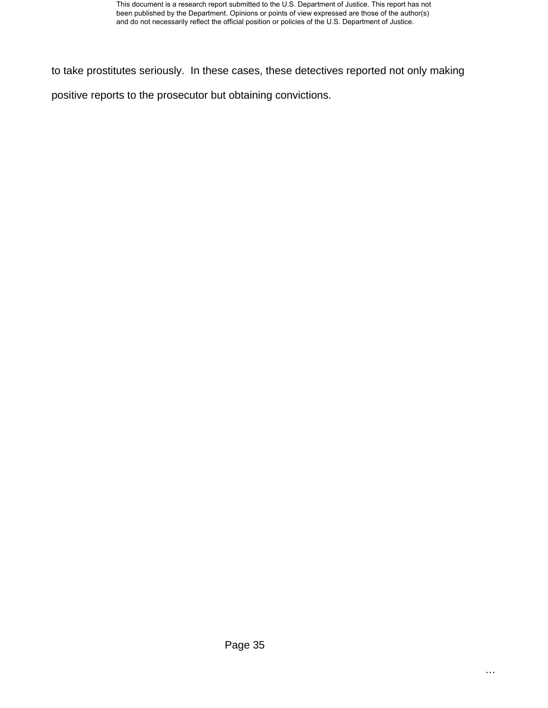to take prostitutes seriously. In these cases, these detectives reported not only making

positive reports to the prosecutor but obtaining convictions.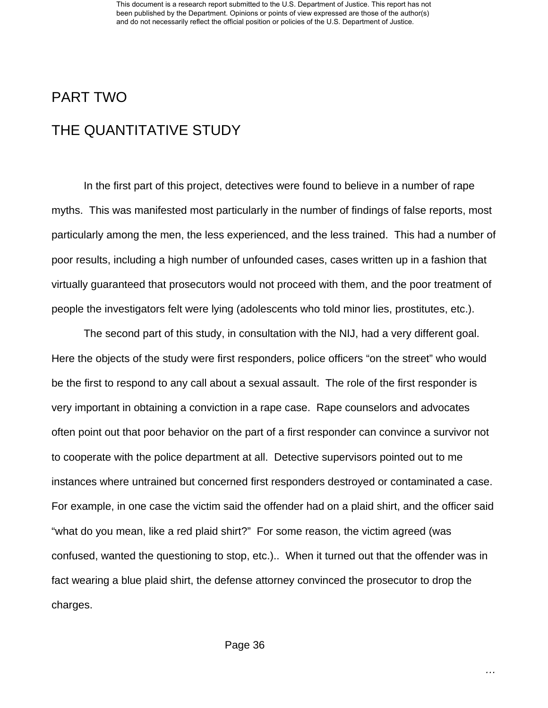# PART TWO

# THE QUANTITATIVE STUDY

 In the first part of this project, detectives were found to believe in a number of rape myths. This was manifested most particularly in the number of findings of false reports, most particularly among the men, the less experienced, and the less trained. This had a number of poor results, including a high number of unfounded cases, cases written up in a fashion that virtually guaranteed that prosecutors would not proceed with them, and the poor treatment of people the investigators felt were lying (adolescents who told minor lies, prostitutes, etc.).

 The second part of this study, in consultation with the NIJ, had a very different goal. Here the objects of the study were first responders, police officers "on the street" who would be the first to respond to any call about a sexual assault. The role of the first responder is very important in obtaining a conviction in a rape case. Rape counselors and advocates often point out that poor behavior on the part of a first responder can convince a survivor not to cooperate with the police department at all. Detective supervisors pointed out to me instances where untrained but concerned first responders destroyed or contaminated a case. For example, in one case the victim said the offender had on a plaid shirt, and the officer said "what do you mean, like a red plaid shirt?" For some reason, the victim agreed (was confused, wanted the questioning to stop, etc.).. When it turned out that the offender was in fact wearing a blue plaid shirt, the defense attorney convinced the prosecutor to drop the charges.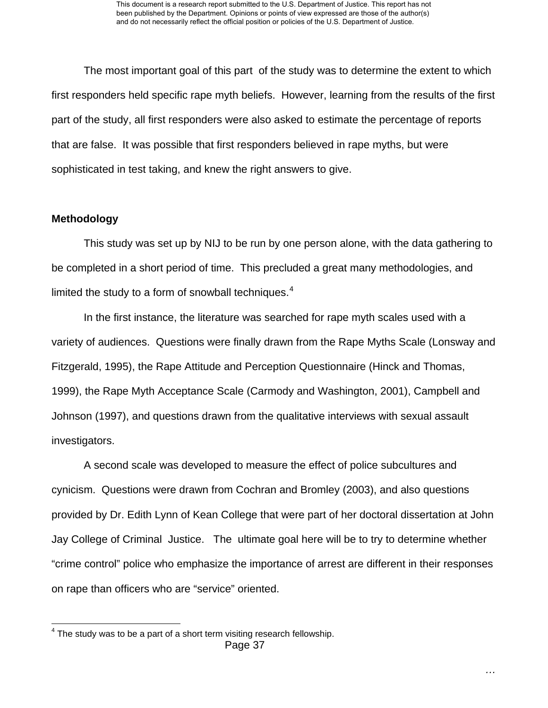The most important goal of this part of the study was to determine the extent to which first responders held specific rape myth beliefs. However, learning from the results of the first part of the study, all first responders were also asked to estimate the percentage of reports that are false. It was possible that first responders believed in rape myths, but were sophisticated in test taking, and knew the right answers to give.

#### **Methodology**

l

 This study was set up by NIJ to be run by one person alone, with the data gathering to be completed in a short period of time. This precluded a great many methodologies, and limited the study to a form of snowball techniques. $4$ 

 In the first instance, the literature was searched for rape myth scales used with a variety of audiences. Questions were finally drawn from the Rape Myths Scale (Lonsway and Fitzgerald, 1995), the Rape Attitude and Perception Questionnaire (Hinck and Thomas, 1999), the Rape Myth Acceptance Scale (Carmody and Washington, 2001), Campbell and Johnson (1997), and questions drawn from the qualitative interviews with sexual assault investigators.

 A second scale was developed to measure the effect of police subcultures and cynicism. Questions were drawn from Cochran and Bromley (2003), and also questions provided by Dr. Edith Lynn of Kean College that were part of her doctoral dissertation at John Jay College of Criminal Justice. The ultimate goal here will be to try to determine whether "crime control" police who emphasize the importance of arrest are different in their responses on rape than officers who are "service" oriented.

<span id="page-37-0"></span>Page 37  $4$  The study was to be a part of a short term visiting research fellowship.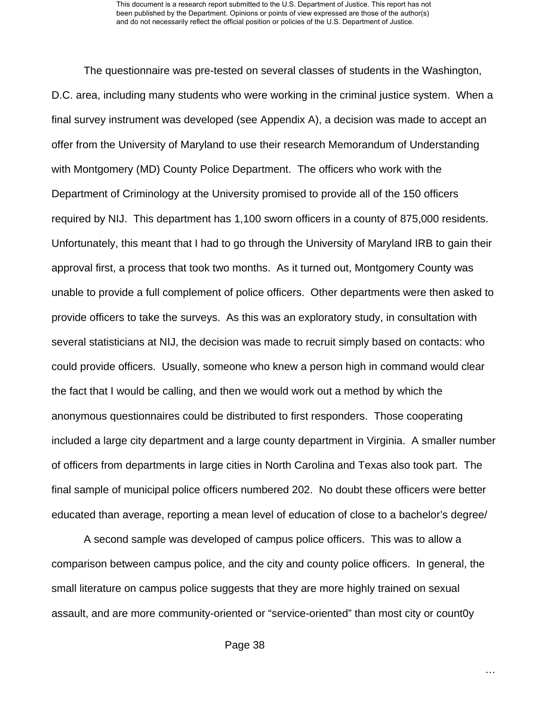The questionnaire was pre-tested on several classes of students in the Washington, D.C. area, including many students who were working in the criminal justice system. When a final survey instrument was developed (see Appendix A), a decision was made to accept an offer from the University of Maryland to use their research Memorandum of Understanding with Montgomery (MD) County Police Department. The officers who work with the Department of Criminology at the University promised to provide all of the 150 officers required by NIJ. This department has 1,100 sworn officers in a county of 875,000 residents. Unfortunately, this meant that I had to go through the University of Maryland IRB to gain their approval first, a process that took two months. As it turned out, Montgomery County was unable to provide a full complement of police officers. Other departments were then asked to provide officers to take the surveys. As this was an exploratory study, in consultation with several statisticians at NIJ, the decision was made to recruit simply based on contacts: who could provide officers. Usually, someone who knew a person high in command would clear the fact that I would be calling, and then we would work out a method by which the anonymous questionnaires could be distributed to first responders. Those cooperating included a large city department and a large county department in Virginia. A smaller number of officers from departments in large cities in North Carolina and Texas also took part. The final sample of municipal police officers numbered 202. No doubt these officers were better educated than average, reporting a mean level of education of close to a bachelor's degree/

 A second sample was developed of campus police officers. This was to allow a comparison between campus police, and the city and county police officers. In general, the small literature on campus police suggests that they are more highly trained on sexual assault, and are more community-oriented or "service-oriented" than most city or count0y

*…*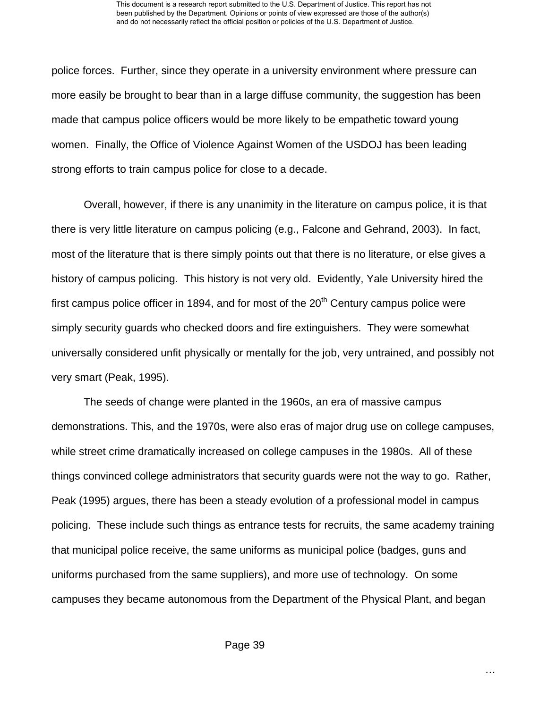police forces. Further, since they operate in a university environment where pressure can more easily be brought to bear than in a large diffuse community, the suggestion has been made that campus police officers would be more likely to be empathetic toward young women. Finally, the Office of Violence Against Women of the USDOJ has been leading strong efforts to train campus police for close to a decade.

 Overall, however, if there is any unanimity in the literature on campus police, it is that there is very little literature on campus policing (e.g., Falcone and Gehrand, 2003). In fact, most of the literature that is there simply points out that there is no literature, or else gives a history of campus policing. This history is not very old. Evidently, Yale University hired the first campus police officer in 1894, and for most of the  $20<sup>th</sup>$  Century campus police were simply security guards who checked doors and fire extinguishers. They were somewhat universally considered unfit physically or mentally for the job, very untrained, and possibly not very smart (Peak, 1995).

 The seeds of change were planted in the 1960s, an era of massive campus demonstrations. This, and the 1970s, were also eras of major drug use on college campuses, while street crime dramatically increased on college campuses in the 1980s. All of these things convinced college administrators that security guards were not the way to go. Rather, Peak (1995) argues, there has been a steady evolution of a professional model in campus policing. These include such things as entrance tests for recruits, the same academy training that municipal police receive, the same uniforms as municipal police (badges, guns and uniforms purchased from the same suppliers), and more use of technology. On some campuses they became autonomous from the Department of the Physical Plant, and began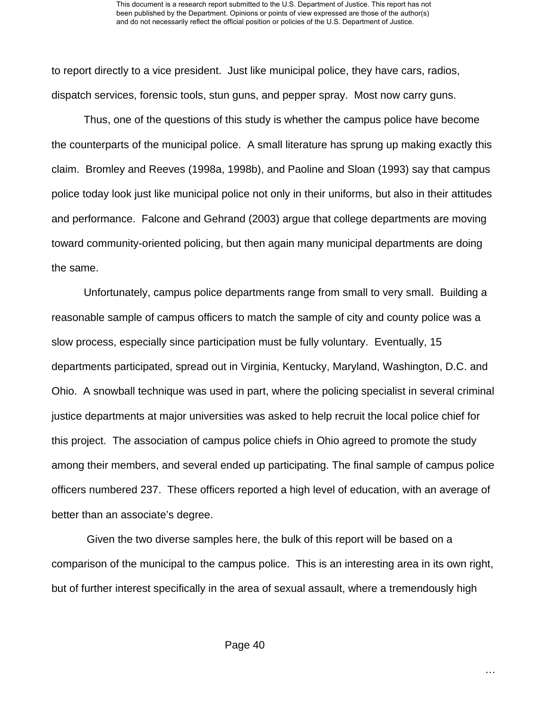to report directly to a vice president. Just like municipal police, they have cars, radios, dispatch services, forensic tools, stun guns, and pepper spray. Most now carry guns.

 Thus, one of the questions of this study is whether the campus police have become the counterparts of the municipal police. A small literature has sprung up making exactly this claim. Bromley and Reeves (1998a, 1998b), and Paoline and Sloan (1993) say that campus police today look just like municipal police not only in their uniforms, but also in their attitudes and performance. Falcone and Gehrand (2003) argue that college departments are moving toward community-oriented policing, but then again many municipal departments are doing the same.

 Unfortunately, campus police departments range from small to very small. Building a reasonable sample of campus officers to match the sample of city and county police was a slow process, especially since participation must be fully voluntary. Eventually, 15 departments participated, spread out in Virginia, Kentucky, Maryland, Washington, D.C. and Ohio. A snowball technique was used in part, where the policing specialist in several criminal justice departments at major universities was asked to help recruit the local police chief for this project. The association of campus police chiefs in Ohio agreed to promote the study among their members, and several ended up participating. The final sample of campus police officers numbered 237. These officers reported a high level of education, with an average of better than an associate's degree.

 Given the two diverse samples here, the bulk of this report will be based on a comparison of the municipal to the campus police. This is an interesting area in its own right, but of further interest specifically in the area of sexual assault, where a tremendously high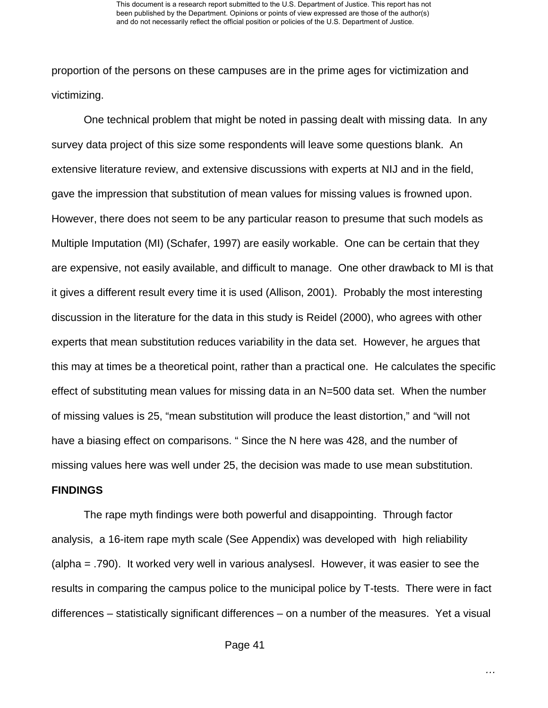proportion of the persons on these campuses are in the prime ages for victimization and victimizing.

 One technical problem that might be noted in passing dealt with missing data. In any survey data project of this size some respondents will leave some questions blank. An extensive literature review, and extensive discussions with experts at NIJ and in the field, gave the impression that substitution of mean values for missing values is frowned upon. However, there does not seem to be any particular reason to presume that such models as Multiple Imputation (MI) (Schafer, 1997) are easily workable. One can be certain that they are expensive, not easily available, and difficult to manage. One other drawback to MI is that it gives a different result every time it is used (Allison, 2001). Probably the most interesting discussion in the literature for the data in this study is Reidel (2000), who agrees with other experts that mean substitution reduces variability in the data set. However, he argues that this may at times be a theoretical point, rather than a practical one. He calculates the specific effect of substituting mean values for missing data in an N=500 data set. When the number of missing values is 25, "mean substitution will produce the least distortion," and "will not have a biasing effect on comparisons. " Since the N here was 428, and the number of missing values here was well under 25, the decision was made to use mean substitution.

#### **FINDINGS**

The rape myth findings were both powerful and disappointing. Through factor analysis, a 16-item rape myth scale (See Appendix) was developed with high reliability (alpha = .790). It worked very well in various analysesl. However, it was easier to see the results in comparing the campus police to the municipal police by T-tests. There were in fact differences – statistically significant differences – on a number of the measures. Yet a visual

*…*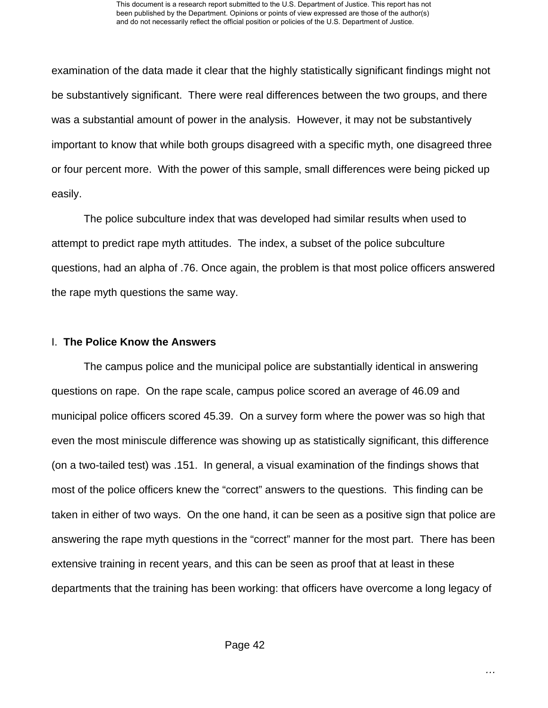examination of the data made it clear that the highly statistically significant findings might not be substantively significant. There were real differences between the two groups, and there was a substantial amount of power in the analysis. However, it may not be substantively important to know that while both groups disagreed with a specific myth, one disagreed three or four percent more. With the power of this sample, small differences were being picked up easily.

The police subculture index that was developed had similar results when used to attempt to predict rape myth attitudes. The index, a subset of the police subculture questions, had an alpha of .76. Once again, the problem is that most police officers answered the rape myth questions the same way.

#### I. **The Police Know the Answers**

 The campus police and the municipal police are substantially identical in answering questions on rape. On the rape scale, campus police scored an average of 46.09 and municipal police officers scored 45.39. On a survey form where the power was so high that even the most miniscule difference was showing up as statistically significant, this difference (on a two-tailed test) was .151. In general, a visual examination of the findings shows that most of the police officers knew the "correct" answers to the questions. This finding can be taken in either of two ways. On the one hand, it can be seen as a positive sign that police are answering the rape myth questions in the "correct" manner for the most part. There has been extensive training in recent years, and this can be seen as proof that at least in these departments that the training has been working: that officers have overcome a long legacy of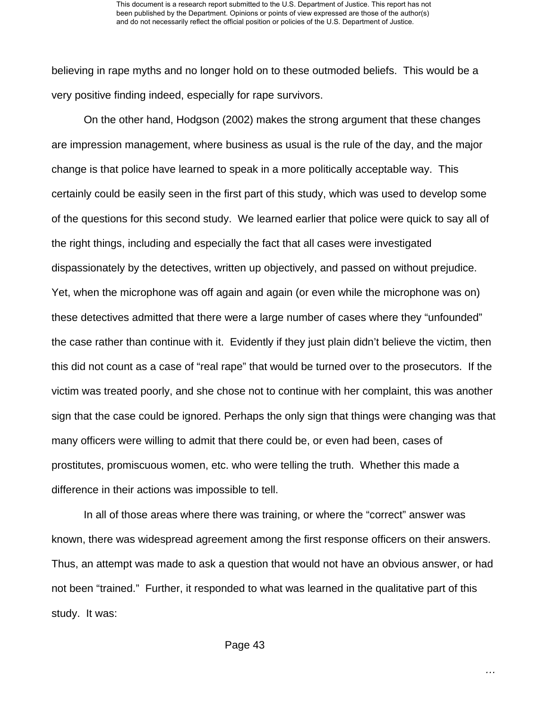believing in rape myths and no longer hold on to these outmoded beliefs. This would be a very positive finding indeed, especially for rape survivors.

 On the other hand, Hodgson (2002) makes the strong argument that these changes are impression management, where business as usual is the rule of the day, and the major change is that police have learned to speak in a more politically acceptable way. This certainly could be easily seen in the first part of this study, which was used to develop some of the questions for this second study. We learned earlier that police were quick to say all of the right things, including and especially the fact that all cases were investigated dispassionately by the detectives, written up objectively, and passed on without prejudice. Yet, when the microphone was off again and again (or even while the microphone was on) these detectives admitted that there were a large number of cases where they "unfounded" the case rather than continue with it. Evidently if they just plain didn't believe the victim, then this did not count as a case of "real rape" that would be turned over to the prosecutors. If the victim was treated poorly, and she chose not to continue with her complaint, this was another sign that the case could be ignored. Perhaps the only sign that things were changing was that many officers were willing to admit that there could be, or even had been, cases of prostitutes, promiscuous women, etc. who were telling the truth. Whether this made a difference in their actions was impossible to tell.

 In all of those areas where there was training, or where the "correct" answer was known, there was widespread agreement among the first response officers on their answers. Thus, an attempt was made to ask a question that would not have an obvious answer, or had not been "trained." Further, it responded to what was learned in the qualitative part of this study. It was: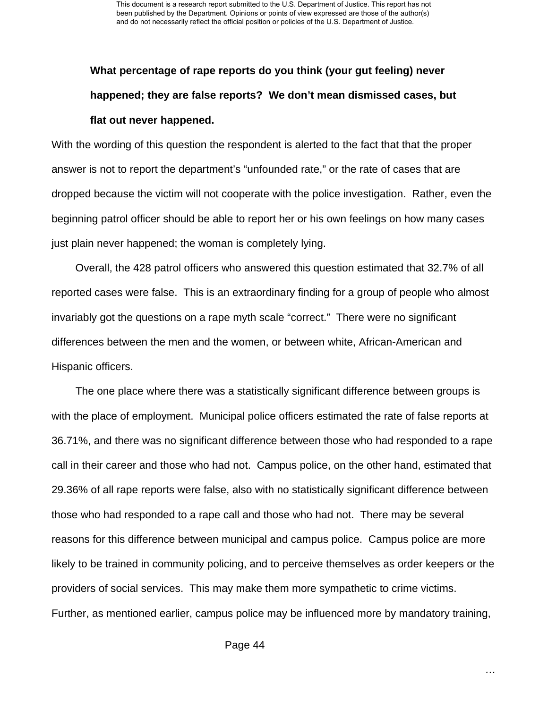This document is a research report submitted to the U.S. Department of Justice. This report has not been published by the Department. Opinions or points of view expressed are those of the author(s) and do not necessarily reflect the official position or policies of the U.S. Department of Justice.

# **What percentage of rape reports do you think (your gut feeling) never happened; they are false reports? We don't mean dismissed cases, but flat out never happened.**

With the wording of this question the respondent is alerted to the fact that that the proper answer is not to report the department's "unfounded rate," or the rate of cases that are dropped because the victim will not cooperate with the police investigation. Rather, even the beginning patrol officer should be able to report her or his own feelings on how many cases just plain never happened; the woman is completely lying.

 Overall, the 428 patrol officers who answered this question estimated that 32.7% of all reported cases were false. This is an extraordinary finding for a group of people who almost invariably got the questions on a rape myth scale "correct." There were no significant differences between the men and the women, or between white, African-American and Hispanic officers.

 The one place where there was a statistically significant difference between groups is with the place of employment. Municipal police officers estimated the rate of false reports at 36.71%, and there was no significant difference between those who had responded to a rape call in their career and those who had not. Campus police, on the other hand, estimated that 29.36% of all rape reports were false, also with no statistically significant difference between those who had responded to a rape call and those who had not. There may be several reasons for this difference between municipal and campus police. Campus police are more likely to be trained in community policing, and to perceive themselves as order keepers or the providers of social services. This may make them more sympathetic to crime victims. Further, as mentioned earlier, campus police may be influenced more by mandatory training,

Page 44

*…*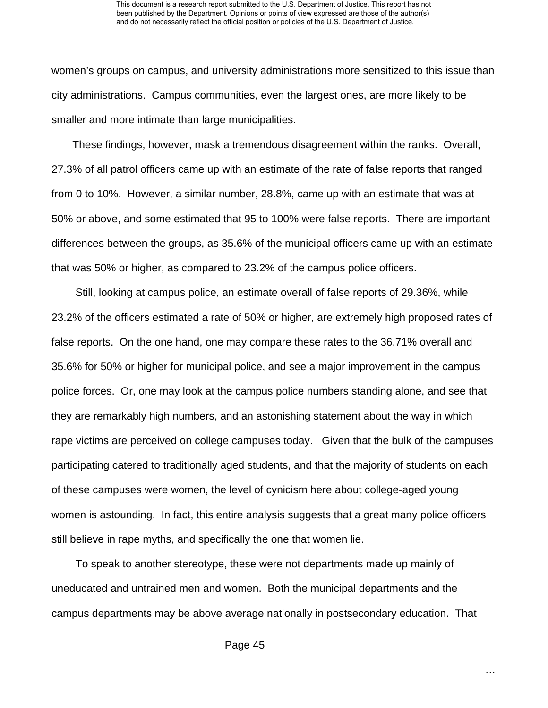women's groups on campus, and university administrations more sensitized to this issue than city administrations. Campus communities, even the largest ones, are more likely to be smaller and more intimate than large municipalities.

 These findings, however, mask a tremendous disagreement within the ranks. Overall, 27.3% of all patrol officers came up with an estimate of the rate of false reports that ranged from 0 to 10%. However, a similar number, 28.8%, came up with an estimate that was at 50% or above, and some estimated that 95 to 100% were false reports. There are important differences between the groups, as 35.6% of the municipal officers came up with an estimate that was 50% or higher, as compared to 23.2% of the campus police officers.

 Still, looking at campus police, an estimate overall of false reports of 29.36%, while 23.2% of the officers estimated a rate of 50% or higher, are extremely high proposed rates of false reports. On the one hand, one may compare these rates to the 36.71% overall and 35.6% for 50% or higher for municipal police, and see a major improvement in the campus police forces. Or, one may look at the campus police numbers standing alone, and see that they are remarkably high numbers, and an astonishing statement about the way in which rape victims are perceived on college campuses today. Given that the bulk of the campuses participating catered to traditionally aged students, and that the majority of students on each of these campuses were women, the level of cynicism here about college-aged young women is astounding. In fact, this entire analysis suggests that a great many police officers still believe in rape myths, and specifically the one that women lie.

 To speak to another stereotype, these were not departments made up mainly of uneducated and untrained men and women. Both the municipal departments and the campus departments may be above average nationally in postsecondary education. That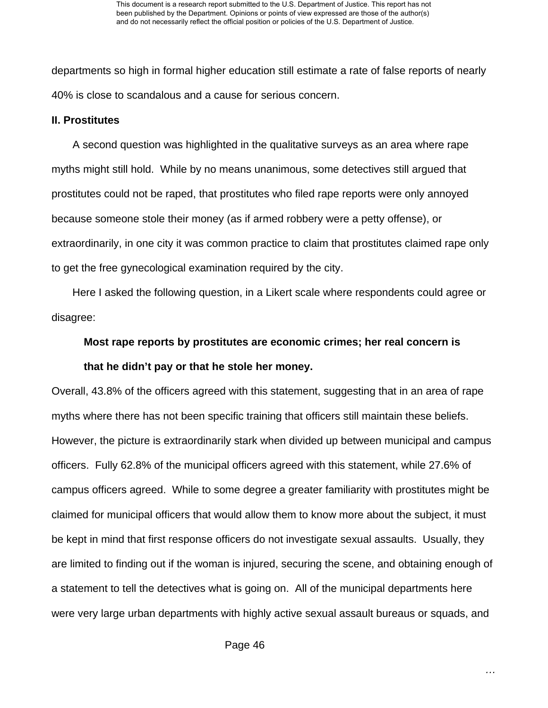departments so high in formal higher education still estimate a rate of false reports of nearly 40% is close to scandalous and a cause for serious concern.

#### **II. Prostitutes**

 A second question was highlighted in the qualitative surveys as an area where rape myths might still hold. While by no means unanimous, some detectives still argued that prostitutes could not be raped, that prostitutes who filed rape reports were only annoyed because someone stole their money (as if armed robbery were a petty offense), or extraordinarily, in one city it was common practice to claim that prostitutes claimed rape only to get the free gynecological examination required by the city.

 Here I asked the following question, in a Likert scale where respondents could agree or disagree:

# **Most rape reports by prostitutes are economic crimes; her real concern is that he didn't pay or that he stole her money.**

Overall, 43.8% of the officers agreed with this statement, suggesting that in an area of rape myths where there has not been specific training that officers still maintain these beliefs. However, the picture is extraordinarily stark when divided up between municipal and campus officers. Fully 62.8% of the municipal officers agreed with this statement, while 27.6% of campus officers agreed. While to some degree a greater familiarity with prostitutes might be claimed for municipal officers that would allow them to know more about the subject, it must be kept in mind that first response officers do not investigate sexual assaults. Usually, they are limited to finding out if the woman is injured, securing the scene, and obtaining enough of a statement to tell the detectives what is going on. All of the municipal departments here were very large urban departments with highly active sexual assault bureaus or squads, and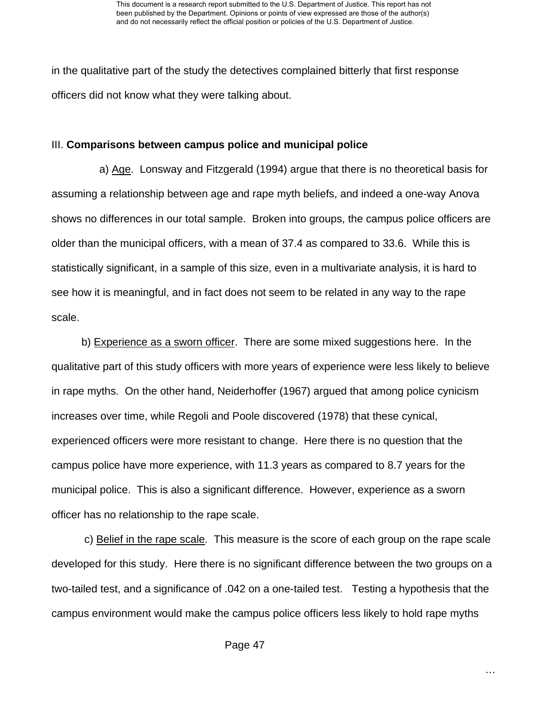in the qualitative part of the study the detectives complained bitterly that first response officers did not know what they were talking about.

#### III. **Comparisons between campus police and municipal police**

 a) Age. Lonsway and Fitzgerald (1994) argue that there is no theoretical basis for assuming a relationship between age and rape myth beliefs, and indeed a one-way Anova shows no differences in our total sample. Broken into groups, the campus police officers are older than the municipal officers, with a mean of 37.4 as compared to 33.6. While this is statistically significant, in a sample of this size, even in a multivariate analysis, it is hard to see how it is meaningful, and in fact does not seem to be related in any way to the rape scale.

 b) Experience as a sworn officer. There are some mixed suggestions here. In the qualitative part of this study officers with more years of experience were less likely to believe in rape myths. On the other hand, Neiderhoffer (1967) argued that among police cynicism increases over time, while Regoli and Poole discovered (1978) that these cynical, experienced officers were more resistant to change. Here there is no question that the campus police have more experience, with 11.3 years as compared to 8.7 years for the municipal police. This is also a significant difference. However, experience as a sworn officer has no relationship to the rape scale.

 c) Belief in the rape scale. This measure is the score of each group on the rape scale developed for this study. Here there is no significant difference between the two groups on a two-tailed test, and a significance of .042 on a one-tailed test. Testing a hypothesis that the campus environment would make the campus police officers less likely to hold rape myths

Page 47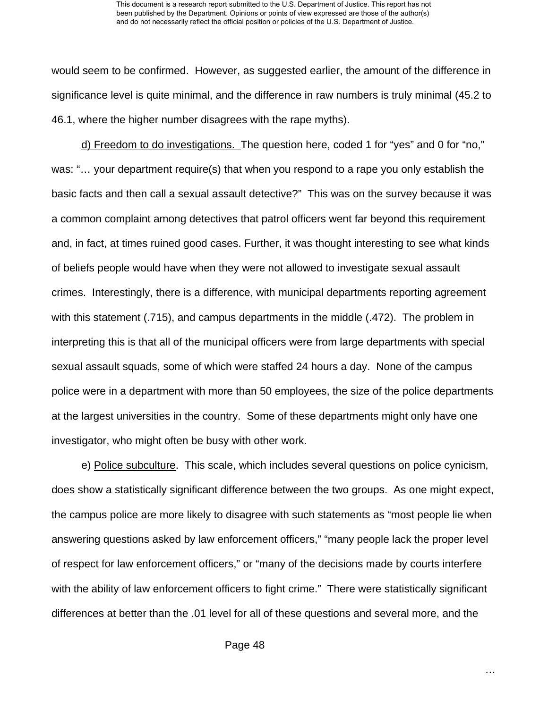would seem to be confirmed. However, as suggested earlier, the amount of the difference in significance level is quite minimal, and the difference in raw numbers is truly minimal (45.2 to 46.1, where the higher number disagrees with the rape myths).

 d) Freedom to do investigations. The question here, coded 1 for "yes" and 0 for "no," was: "… your department require(s) that when you respond to a rape you only establish the basic facts and then call a sexual assault detective?" This was on the survey because it was a common complaint among detectives that patrol officers went far beyond this requirement and, in fact, at times ruined good cases. Further, it was thought interesting to see what kinds of beliefs people would have when they were not allowed to investigate sexual assault crimes. Interestingly, there is a difference, with municipal departments reporting agreement with this statement (.715), and campus departments in the middle (.472). The problem in interpreting this is that all of the municipal officers were from large departments with special sexual assault squads, some of which were staffed 24 hours a day. None of the campus police were in a department with more than 50 employees, the size of the police departments at the largest universities in the country. Some of these departments might only have one investigator, who might often be busy with other work.

 e) Police subculture. This scale, which includes several questions on police cynicism, does show a statistically significant difference between the two groups. As one might expect, the campus police are more likely to disagree with such statements as "most people lie when answering questions asked by law enforcement officers," "many people lack the proper level of respect for law enforcement officers," or "many of the decisions made by courts interfere with the ability of law enforcement officers to fight crime." There were statistically significant differences at better than the .01 level for all of these questions and several more, and the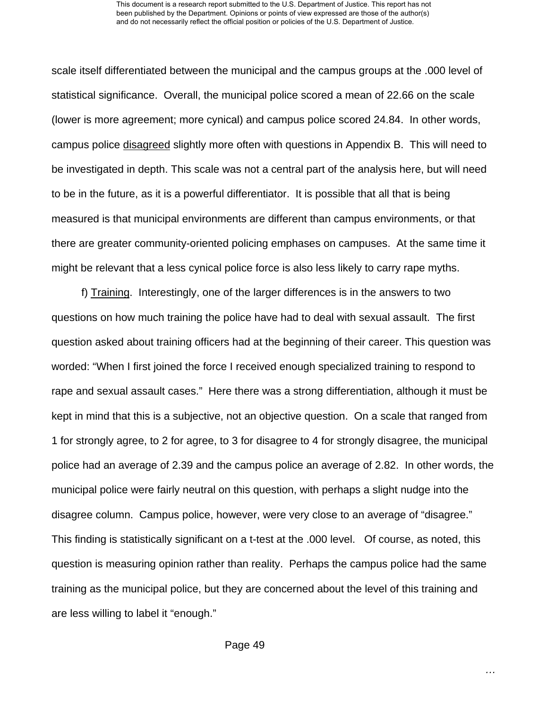#### This document is a research report submitted to the U.S. Department of Justice. This report has not been published by the Department. Opinions or points of view expressed are those of the author(s) and do not necessarily reflect the official position or policies of the U.S. Department of Justice.

scale itself differentiated between the municipal and the campus groups at the .000 level of statistical significance. Overall, the municipal police scored a mean of 22.66 on the scale (lower is more agreement; more cynical) and campus police scored 24.84. In other words, campus police disagreed slightly more often with questions in Appendix B. This will need to be investigated in depth. This scale was not a central part of the analysis here, but will need to be in the future, as it is a powerful differentiator. It is possible that all that is being measured is that municipal environments are different than campus environments, or that there are greater community-oriented policing emphases on campuses. At the same time it might be relevant that a less cynical police force is also less likely to carry rape myths.

 f) Training. Interestingly, one of the larger differences is in the answers to two questions on how much training the police have had to deal with sexual assault. The first question asked about training officers had at the beginning of their career. This question was worded: "When I first joined the force I received enough specialized training to respond to rape and sexual assault cases." Here there was a strong differentiation, although it must be kept in mind that this is a subjective, not an objective question. On a scale that ranged from 1 for strongly agree, to 2 for agree, to 3 for disagree to 4 for strongly disagree, the municipal police had an average of 2.39 and the campus police an average of 2.82. In other words, the municipal police were fairly neutral on this question, with perhaps a slight nudge into the disagree column. Campus police, however, were very close to an average of "disagree." This finding is statistically significant on a t-test at the .000 level. Of course, as noted, this question is measuring opinion rather than reality. Perhaps the campus police had the same training as the municipal police, but they are concerned about the level of this training and are less willing to label it "enough."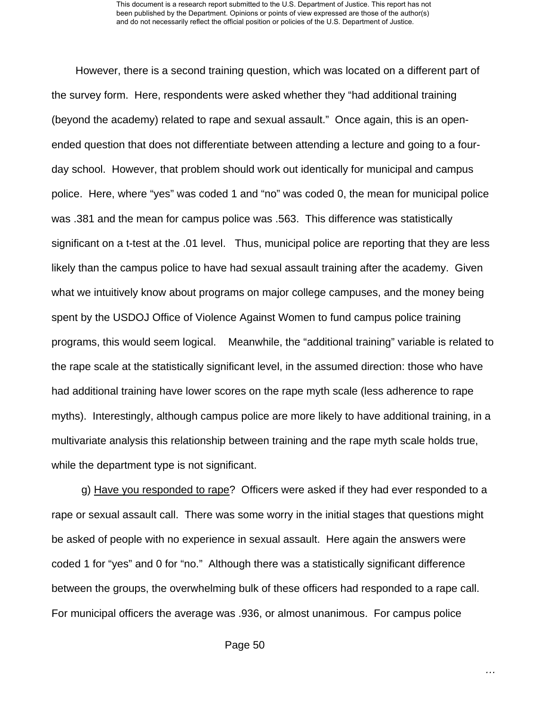However, there is a second training question, which was located on a different part of the survey form. Here, respondents were asked whether they "had additional training (beyond the academy) related to rape and sexual assault." Once again, this is an openended question that does not differentiate between attending a lecture and going to a fourday school. However, that problem should work out identically for municipal and campus police. Here, where "yes" was coded 1 and "no" was coded 0, the mean for municipal police was .381 and the mean for campus police was .563. This difference was statistically significant on a t-test at the .01 level. Thus, municipal police are reporting that they are less likely than the campus police to have had sexual assault training after the academy. Given what we intuitively know about programs on major college campuses, and the money being spent by the USDOJ Office of Violence Against Women to fund campus police training programs, this would seem logical. Meanwhile, the "additional training" variable is related to the rape scale at the statistically significant level, in the assumed direction: those who have had additional training have lower scores on the rape myth scale (less adherence to rape myths). Interestingly, although campus police are more likely to have additional training, in a multivariate analysis this relationship between training and the rape myth scale holds true, while the department type is not significant.

 g) Have you responded to rape? Officers were asked if they had ever responded to a rape or sexual assault call. There was some worry in the initial stages that questions might be asked of people with no experience in sexual assault. Here again the answers were coded 1 for "yes" and 0 for "no." Although there was a statistically significant difference between the groups, the overwhelming bulk of these officers had responded to a rape call. For municipal officers the average was .936, or almost unanimous. For campus police

Page 50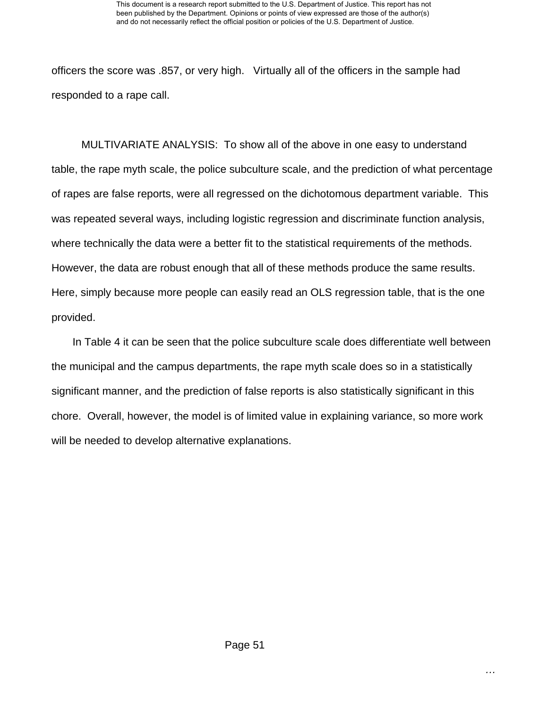officers the score was .857, or very high. Virtually all of the officers in the sample had responded to a rape call.

 MULTIVARIATE ANALYSIS: To show all of the above in one easy to understand table, the rape myth scale, the police subculture scale, and the prediction of what percentage of rapes are false reports, were all regressed on the dichotomous department variable. This was repeated several ways, including logistic regression and discriminate function analysis, where technically the data were a better fit to the statistical requirements of the methods. However, the data are robust enough that all of these methods produce the same results. Here, simply because more people can easily read an OLS regression table, that is the one provided.

 In Table 4 it can be seen that the police subculture scale does differentiate well between the municipal and the campus departments, the rape myth scale does so in a statistically significant manner, and the prediction of false reports is also statistically significant in this chore. Overall, however, the model is of limited value in explaining variance, so more work will be needed to develop alternative explanations.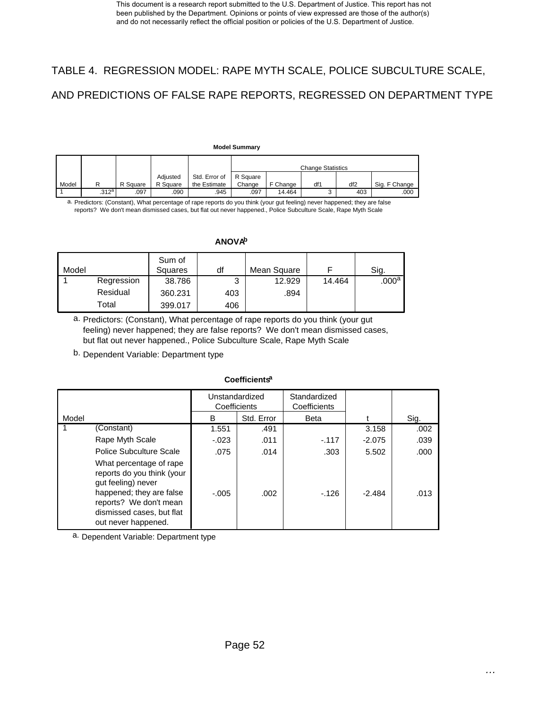# TABLE 4. REGRESSION MODEL: RAPE MYTH SCALE, POLICE SUBCULTURE SCALE, AND PREDICTIONS OF FALSE RAPE REPORTS, REGRESSED ON DEPARTMENT TYPE

#### **Model Summary**

|       |       |          |          |               | <b>Change Statistics</b> |          |     |                 |               |
|-------|-------|----------|----------|---------------|--------------------------|----------|-----|-----------------|---------------|
|       |       |          | Adiusted | Std. Error of | R Square                 |          |     |                 |               |
| Model | R     | R Square | R Square | the Estimate  | Change                   | F Change | df1 | df <sub>2</sub> | Sig. F Change |
|       | .312a | 097      | .090     | .945          | .097                     | 14.464   | ∽   | 403             | .000          |

a. Predictors: (Constant), What percentage of rape reports do you think (your gut feeling) never happened; they are false reports? We don't mean dismissed cases, but flat out never happened., Police Subculture Scale, Rape Myth Scale

#### **ANOVAb**

| Model |            | Sum of<br>Squares | df     | Mean Square |        | Sig.           |
|-------|------------|-------------------|--------|-------------|--------|----------------|
|       | Regression | 38.786            | ິ<br>ື | 12.929      | 14.464 | $.000^{\rm a}$ |
|       | Residual   | 360.231           | 403    | .894        |        |                |
|       | Total      | 399.017           | 406    |             |        |                |

a. Predictors: (Constant), What percentage of rape reports do you think (your gut feeling) never happened; they are false reports? We don't mean dismissed cases, but flat out never happened., Police Subculture Scale, Rape Myth Scale

b. Dependent Variable: Department type

#### **Coefficientsa**

|       |                                                                                                                                                                                       | Unstandardized<br>Coefficients |            | Standardized<br>Coefficients |          |      |
|-------|---------------------------------------------------------------------------------------------------------------------------------------------------------------------------------------|--------------------------------|------------|------------------------------|----------|------|
| Model |                                                                                                                                                                                       | B                              | Std. Error | <b>Beta</b>                  |          | Sig. |
|       | (Constant)                                                                                                                                                                            | 1.551                          | .491       |                              | 3.158    | .002 |
|       | Rape Myth Scale                                                                                                                                                                       | $-.023$                        | .011       | $-.117$                      | $-2.075$ | .039 |
|       | <b>Police Subculture Scale</b>                                                                                                                                                        | .075                           | .014       | .303                         | 5.502    | .000 |
|       | What percentage of rape<br>reports do you think (your<br>qut feeling) never<br>happened; they are false<br>reports? We don't mean<br>dismissed cases, but flat<br>out never happened. | $-.005$                        | .002       | $-126$                       | $-2.484$ | .013 |

a. Dependent Variable: Department type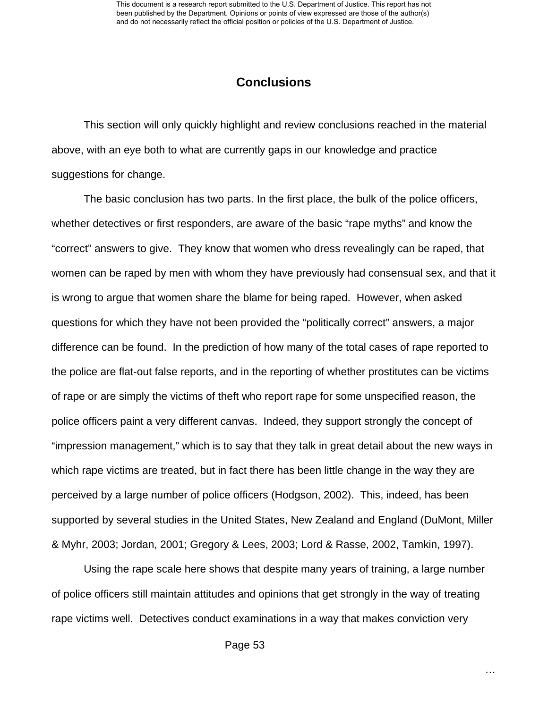### **Conclusions**

This section will only quickly highlight and review conclusions reached in the material above, with an eye both to what are currently gaps in our knowledge and practice suggestions for change.

The basic conclusion has two parts. In the first place, the bulk of the police officers, whether detectives or first responders, are aware of the basic "rape myths" and know the "correct" answers to give. They know that women who dress revealingly can be raped, that women can be raped by men with whom they have previously had consensual sex, and that it is wrong to argue that women share the blame for being raped. However, when asked questions for which they have not been provided the "politically correct" answers, a major difference can be found. In the prediction of how many of the total cases of rape reported to the police are flat-out false reports, and in the reporting of whether prostitutes can be victims of rape or are simply the victims of theft who report rape for some unspecified reason, the police officers paint a very different canvas. Indeed, they support strongly the concept of "impression management," which is to say that they talk in great detail about the new ways in which rape victims are treated, but in fact there has been little change in the way they are perceived by a large number of police officers (Hodgson, 2002). This, indeed, has been supported by several studies in the United States, New Zealand and England (DuMont, Miller & Myhr, 2003; Jordan, 2001; Gregory & Lees, 2003; Lord & Rasse, 2002, Tamkin, 1997).

Using the rape scale here shows that despite many years of training, a large number of police officers still maintain attitudes and opinions that get strongly in the way of treating rape victims well. Detectives conduct examinations in a way that makes conviction very

*…*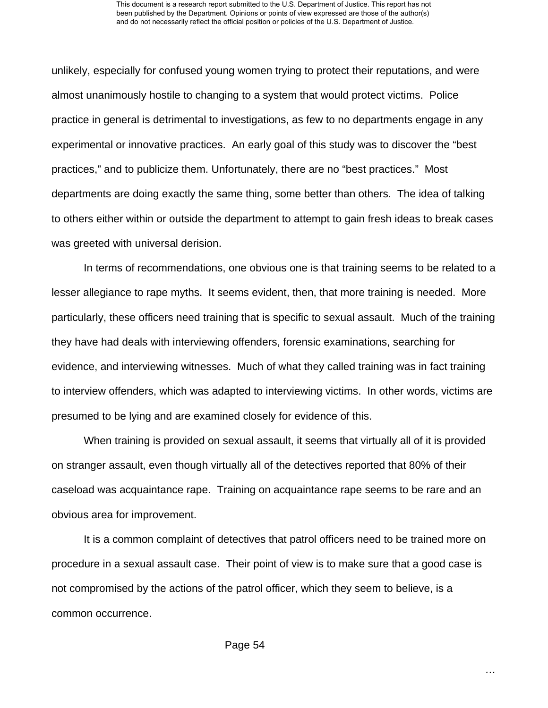unlikely, especially for confused young women trying to protect their reputations, and were almost unanimously hostile to changing to a system that would protect victims. Police practice in general is detrimental to investigations, as few to no departments engage in any experimental or innovative practices. An early goal of this study was to discover the "best practices," and to publicize them. Unfortunately, there are no "best practices." Most departments are doing exactly the same thing, some better than others. The idea of talking to others either within or outside the department to attempt to gain fresh ideas to break cases was greeted with universal derision.

In terms of recommendations, one obvious one is that training seems to be related to a lesser allegiance to rape myths. It seems evident, then, that more training is needed. More particularly, these officers need training that is specific to sexual assault. Much of the training they have had deals with interviewing offenders, forensic examinations, searching for evidence, and interviewing witnesses. Much of what they called training was in fact training to interview offenders, which was adapted to interviewing victims. In other words, victims are presumed to be lying and are examined closely for evidence of this.

When training is provided on sexual assault, it seems that virtually all of it is provided on stranger assault, even though virtually all of the detectives reported that 80% of their caseload was acquaintance rape. Training on acquaintance rape seems to be rare and an obvious area for improvement.

It is a common complaint of detectives that patrol officers need to be trained more on procedure in a sexual assault case. Their point of view is to make sure that a good case is not compromised by the actions of the patrol officer, which they seem to believe, is a common occurrence.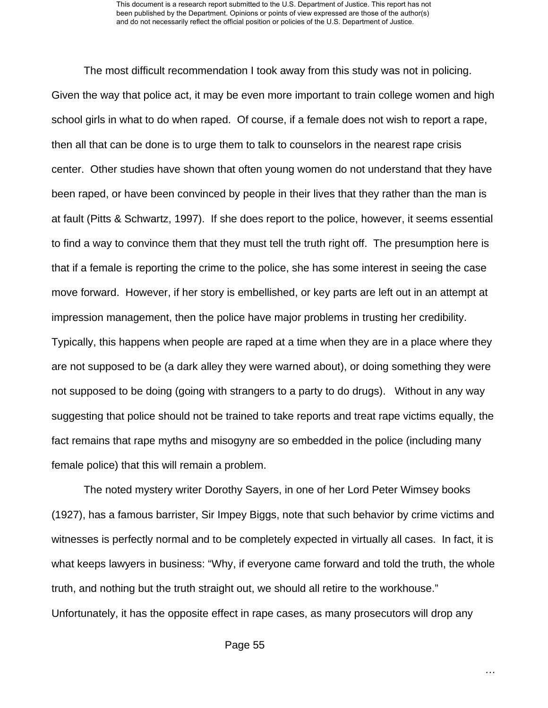The most difficult recommendation I took away from this study was not in policing. Given the way that police act, it may be even more important to train college women and high school girls in what to do when raped. Of course, if a female does not wish to report a rape, then all that can be done is to urge them to talk to counselors in the nearest rape crisis center. Other studies have shown that often young women do not understand that they have been raped, or have been convinced by people in their lives that they rather than the man is at fault (Pitts & Schwartz, 1997). If she does report to the police, however, it seems essential to find a way to convince them that they must tell the truth right off. The presumption here is that if a female is reporting the crime to the police, she has some interest in seeing the case move forward. However, if her story is embellished, or key parts are left out in an attempt at impression management, then the police have major problems in trusting her credibility. Typically, this happens when people are raped at a time when they are in a place where they are not supposed to be (a dark alley they were warned about), or doing something they were not supposed to be doing (going with strangers to a party to do drugs). Without in any way suggesting that police should not be trained to take reports and treat rape victims equally, the fact remains that rape myths and misogyny are so embedded in the police (including many

female police) that this will remain a problem.

The noted mystery writer Dorothy Sayers, in one of her Lord Peter Wimsey books (1927), has a famous barrister, Sir Impey Biggs, note that such behavior by crime victims and witnesses is perfectly normal and to be completely expected in virtually all cases. In fact, it is what keeps lawyers in business: "Why, if everyone came forward and told the truth, the whole truth, and nothing but the truth straight out, we should all retire to the workhouse." Unfortunately, it has the opposite effect in rape cases, as many prosecutors will drop any

Page 55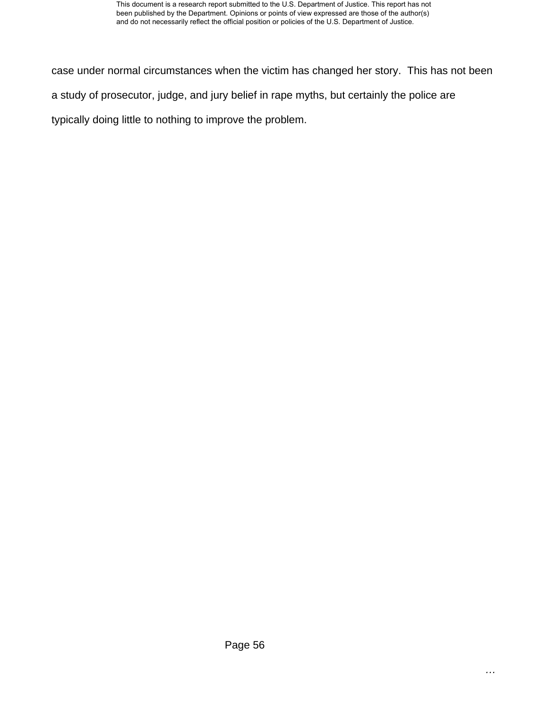case under normal circumstances when the victim has changed her story. This has not been a study of prosecutor, judge, and jury belief in rape myths, but certainly the police are typically doing little to nothing to improve the problem.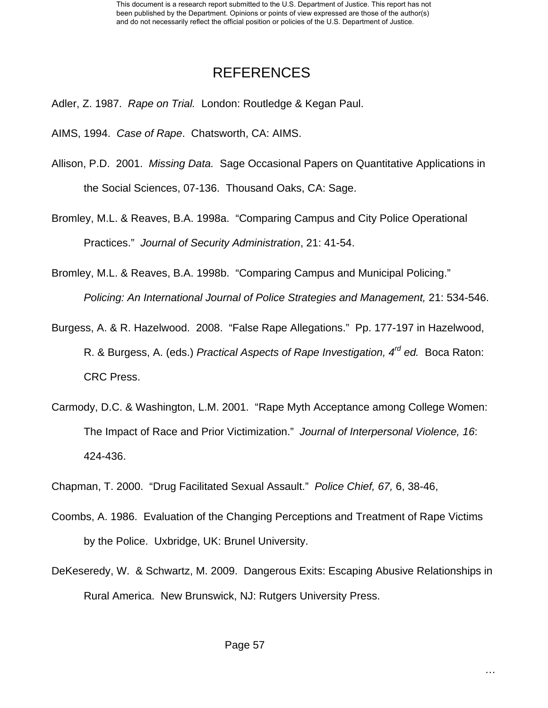# REFERENCES

Adler, Z. 1987. *Rape on Trial.* London: Routledge & Kegan Paul.

AIMS, 1994. *Case of Rape*. Chatsworth, CA: AIMS.

Allison, P.D. 2001. *Missing Data.* Sage Occasional Papers on Quantitative Applications in the Social Sciences, 07-136. Thousand Oaks, CA: Sage.

Bromley, M.L. & Reaves, B.A. 1998a. "Comparing Campus and City Police Operational Practices." *Journal of Security Administration*, 21: 41-54.

Bromley, M.L. & Reaves, B.A. 1998b. "Comparing Campus and Municipal Policing." *Policing: An International Journal of Police Strategies and Management,* 21: 534-546.

Burgess, A. & R. Hazelwood. 2008. "False Rape Allegations." Pp. 177-197 in Hazelwood, R. & Burgess, A. (eds.) *Practical Aspects of Rape Investigation, 4rd ed.* Boca Raton: CRC Press.

- Carmody, D.C. & Washington, L.M. 2001. "Rape Myth Acceptance among College Women: The Impact of Race and Prior Victimization." *Journal of Interpersonal Violence, 16*: 424-436.
- Chapman, T. 2000. "Drug Facilitated Sexual Assault." *Police Chief, 67,* 6, 38-46,
- Coombs, A. 1986. Evaluation of the Changing Perceptions and Treatment of Rape Victims by the Police. Uxbridge, UK: Brunel University.
- DeKeseredy, W. & Schwartz, M. 2009. Dangerous Exits: Escaping Abusive Relationships in Rural America. New Brunswick, NJ: Rutgers University Press.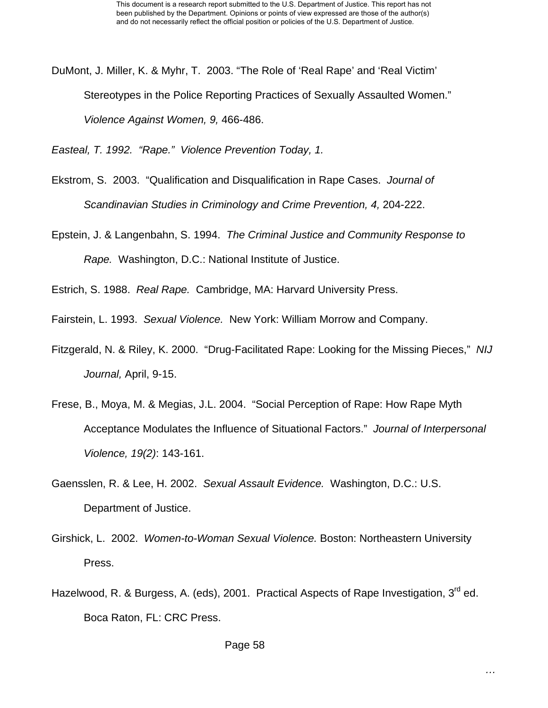DuMont, J. Miller, K. & Myhr, T. 2003. "The Role of 'Real Rape' and 'Real Victim' Stereotypes in the Police Reporting Practices of Sexually Assaulted Women." *Violence Against Women, 9,* 466-486.

*Easteal, T. 1992. "Rape." Violence Prevention Today, 1.* 

- Ekstrom, S. 2003. "Qualification and Disqualification in Rape Cases. *Journal of Scandinavian Studies in Criminology and Crime Prevention, 4,* 204-222.
- Epstein, J. & Langenbahn, S. 1994. *The Criminal Justice and Community Response to Rape.* Washington, D.C.: National Institute of Justice.

Estrich, S. 1988. *Real Rape.* Cambridge, MA: Harvard University Press.

Fairstein, L. 1993. *Sexual Violence.* New York: William Morrow and Company.

- Fitzgerald, N. & Riley, K. 2000. "Drug-Facilitated Rape: Looking for the Missing Pieces," *NIJ Journal,* April, 9-15.
- Frese, B., Moya, M. & Megias, J.L. 2004. "Social Perception of Rape: How Rape Myth Acceptance Modulates the Influence of Situational Factors." *Journal of Interpersonal Violence, 19(2)*: 143-161.
- Gaensslen, R. & Lee, H. 2002. *Sexual Assault Evidence.* Washington, D.C.: U.S. Department of Justice.
- Girshick, L. 2002. *Women-to-Woman Sexual Violence.* Boston: Northeastern University Press.
- Hazelwood, R. & Burgess, A. (eds), 2001. Practical Aspects of Rape Investigation, 3<sup>rd</sup> ed. Boca Raton, FL: CRC Press.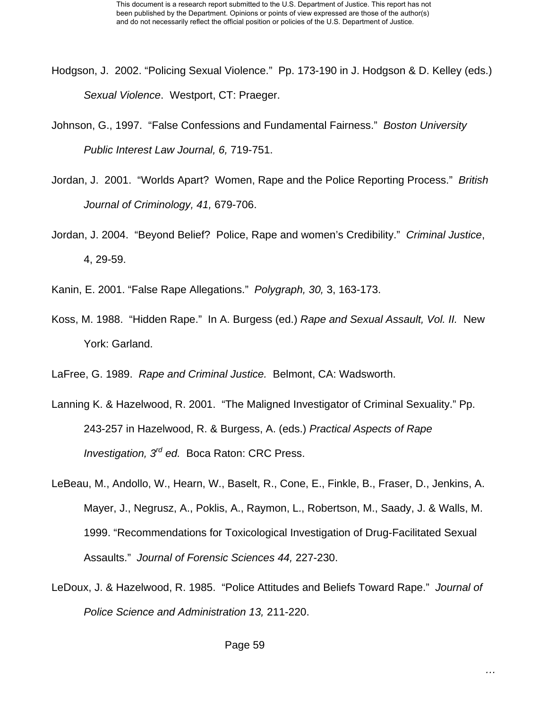- Hodgson, J. 2002. "Policing Sexual Violence." Pp. 173-190 in J. Hodgson & D. Kelley (eds.) *Sexual Violence*. Westport, CT: Praeger.
- Johnson, G., 1997. "False Confessions and Fundamental Fairness." *Boston University Public Interest Law Journal, 6,* 719-751.
- Jordan, J. 2001. "Worlds Apart? Women, Rape and the Police Reporting Process." *British Journal of Criminology, 41,* 679-706.
- Jordan, J. 2004. "Beyond Belief? Police, Rape and women's Credibility." *Criminal Justice*, 4, 29-59.
- Kanin, E. 2001. "False Rape Allegations." *Polygraph, 30,* 3, 163-173.
- Koss, M. 1988. "Hidden Rape." In A. Burgess (ed.) *Rape and Sexual Assault, Vol. II.* New York: Garland.
- LaFree, G. 1989. *Rape and Criminal Justice.* Belmont, CA: Wadsworth.
- Lanning K. & Hazelwood, R. 2001. "The Maligned Investigator of Criminal Sexuality." Pp. 243-257 in Hazelwood, R. & Burgess, A. (eds.) *Practical Aspects of Rape Investigation, 3rd ed.* Boca Raton: CRC Press.
- LeBeau, M., Andollo, W., Hearn, W., Baselt, R., Cone, E., Finkle, B., Fraser, D., Jenkins, A. Mayer, J., Negrusz, A., Poklis, A., Raymon, L., Robertson, M., Saady, J. & Walls, M. 1999. "Recommendations for Toxicological Investigation of Drug-Facilitated Sexual Assaults." *Journal of Forensic Sciences 44,* 227-230.
- LeDoux, J. & Hazelwood, R. 1985. "Police Attitudes and Beliefs Toward Rape." *Journal of Police Science and Administration 13,* 211-220.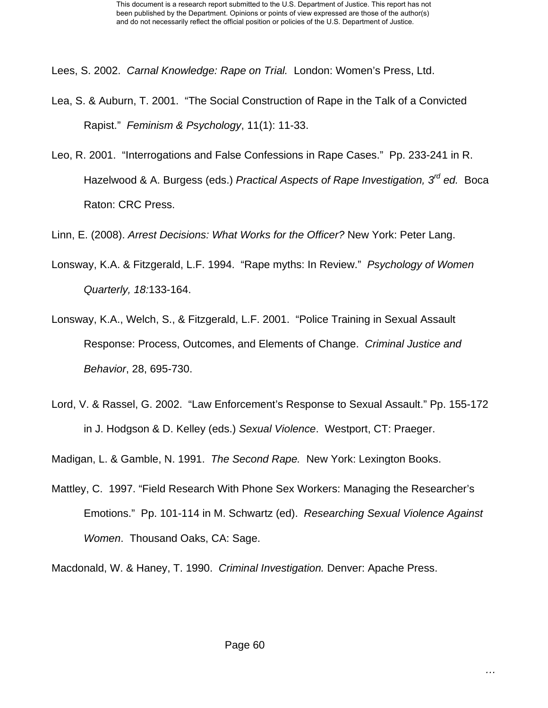Lees, S. 2002. *Carnal Knowledge: Rape on Trial.* London: Women's Press, Ltd.

- Lea, S. & Auburn, T. 2001. "The Social Construction of Rape in the Talk of a Convicted Rapist." *Feminism & Psychology*, 11(1): 11-33.
- Leo, R. 2001. "Interrogations and False Confessions in Rape Cases." Pp. 233-241 in R. Hazelwood & A. Burgess (eds.) *Practical Aspects of Rape Investigation, 3rd ed.* Boca Raton: CRC Press.
- Linn, E. (2008). *Arrest Decisions: What Works for the Officer?* New York: Peter Lang.
- Lonsway, K.A. & Fitzgerald, L.F. 1994. "Rape myths: In Review." *Psychology of Women Quarterly, 18:*133-164.
- Lonsway, K.A., Welch, S., & Fitzgerald, L.F. 2001. "Police Training in Sexual Assault Response: Process, Outcomes, and Elements of Change. *Criminal Justice and Behavior*, 28, 695-730.
- Lord, V. & Rassel, G. 2002. "Law Enforcement's Response to Sexual Assault." Pp. 155-172 in J. Hodgson & D. Kelley (eds.) *Sexual Violence*. Westport, CT: Praeger.

Madigan, L. & Gamble, N. 1991. *The Second Rape.* New York: Lexington Books.

Mattley, C. 1997. "Field Research With Phone Sex Workers: Managing the Researcher's Emotions." Pp. 101-114 in M. Schwartz (ed). *Researching Sexual Violence Against Women*. Thousand Oaks, CA: Sage.

Macdonald, W. & Haney, T. 1990. *Criminal Investigation.* Denver: Apache Press.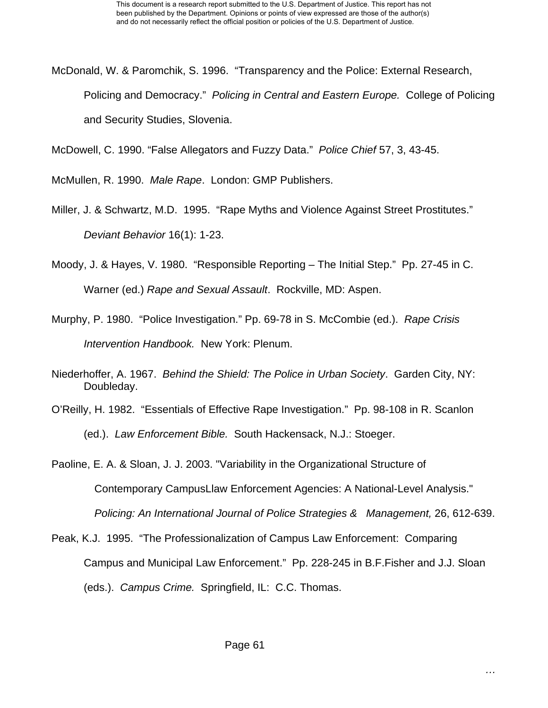McDonald, W. & Paromchik, S. 1996. "Transparency and the Police: External Research, Policing and Democracy." *Policing in Central and Eastern Europe.* College of Policing and Security Studies, Slovenia.

McDowell, C. 1990. "False Allegators and Fuzzy Data." *Police Chief* 57, 3, 43-45.

McMullen, R. 1990. *Male Rape*. London: GMP Publishers.

- Miller, J. & Schwartz, M.D. 1995. "Rape Myths and Violence Against Street Prostitutes." *Deviant Behavior* 16(1): 1-23.
- Moody, J. & Hayes, V. 1980. "Responsible Reporting The Initial Step." Pp. 27-45 in C. Warner (ed.) *Rape and Sexual Assault*. Rockville, MD: Aspen.
- Murphy, P. 1980. "Police Investigation." Pp. 69-78 in S. McCombie (ed.). *Rape Crisis Intervention Handbook.* New York: Plenum.
- Niederhoffer, A. 1967. *Behind the Shield: The Police in Urban Society*. Garden City, NY: Doubleday.
- O'Reilly, H. 1982. "Essentials of Effective Rape Investigation." Pp. 98-108 in R. Scanlon (ed.). *Law Enforcement Bible.* South Hackensack, N.J.: Stoeger.

Paoline, E. A. & Sloan, J. J. 2003. "Variability in the Organizational Structure of Contemporary CampusLlaw Enforcement Agencies: A National-Level Analysis." *Policing: An International Journal of Police Strategies & Management,* 26, 612-639.

Peak, K.J. 1995. "The Professionalization of Campus Law Enforcement: Comparing Campus and Municipal Law Enforcement." Pp. 228-245 in B.F.Fisher and J.J. Sloan (eds.). *Campus Crime.* Springfield, IL: C.C. Thomas.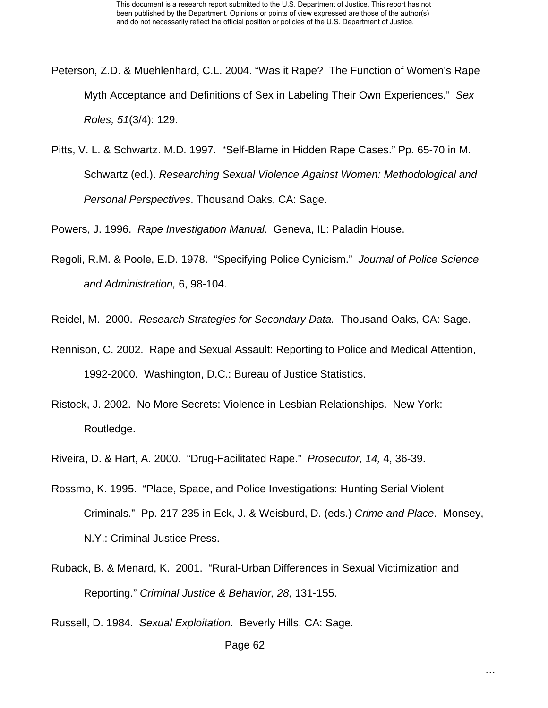- Peterson, Z.D. & Muehlenhard, C.L. 2004. "Was it Rape? The Function of Women's Rape Myth Acceptance and Definitions of Sex in Labeling Their Own Experiences." *Sex Roles, 51*(3/4): 129.
- Pitts, V. L. & Schwartz. M.D. 1997. "Self-Blame in Hidden Rape Cases." Pp. 65-70 in M. Schwartz (ed.). *Researching Sexual Violence Against Women: Methodological and Personal Perspectives*. Thousand Oaks, CA: Sage.

Powers, J. 1996. *Rape Investigation Manual.* Geneva, IL: Paladin House.

Regoli, R.M. & Poole, E.D. 1978. "Specifying Police Cynicism." *Journal of Police Science and Administration,* 6, 98-104.

Reidel, M. 2000. *Research Strategies for Secondary Data.* Thousand Oaks, CA: Sage.

- Rennison, C. 2002. Rape and Sexual Assault: Reporting to Police and Medical Attention, 1992-2000. Washington, D.C.: Bureau of Justice Statistics.
- Ristock, J. 2002. No More Secrets: Violence in Lesbian Relationships. New York: Routledge.
- Riveira, D. & Hart, A. 2000. "Drug-Facilitated Rape." *Prosecutor, 14,* 4, 36-39.
- Rossmo, K. 1995. "Place, Space, and Police Investigations: Hunting Serial Violent Criminals." Pp. 217-235 in Eck, J. & Weisburd, D. (eds.) *Crime and Place*. Monsey, N.Y.: Criminal Justice Press.
- Ruback, B. & Menard, K. 2001. "Rural-Urban Differences in Sexual Victimization and Reporting." *Criminal Justice & Behavior, 28,* 131-155.

Russell, D. 1984. *Sexual Exploitation.* Beverly Hills, CA: Sage.

Page 62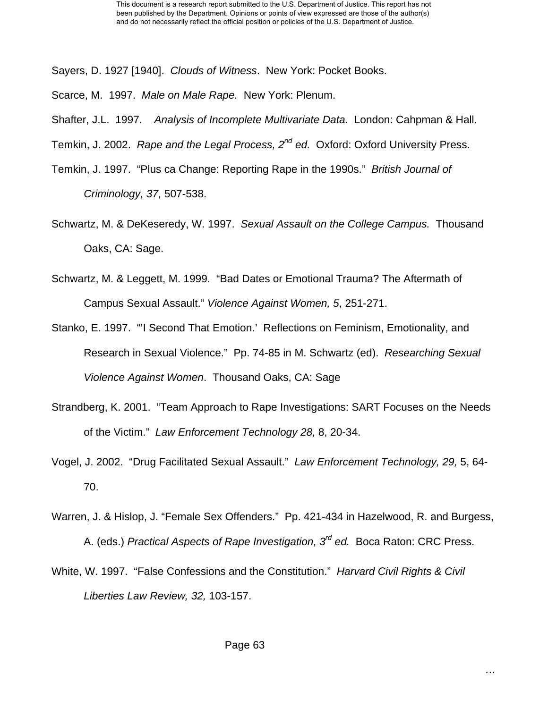Sayers, D. 1927 [1940]. *Clouds of Witness*. New York: Pocket Books.

Scarce, M. 1997. *Male on Male Rape.* New York: Plenum.

Shafter, J.L. 1997. *Analysis of Incomplete Multivariate Data.* London: Cahpman & Hall.

Temkin, J. 2002. *Rape and the Legal Process, 2nd ed.* Oxford: Oxford University Press.

- Temkin, J. 1997. "Plus ca Change: Reporting Rape in the 1990s." *British Journal of Criminology, 37,* 507-538.
- Schwartz, M. & DeKeseredy, W. 1997. *Sexual Assault on the College Campus.* Thousand Oaks, CA: Sage.
- Schwartz, M. & Leggett, M. 1999. "Bad Dates or Emotional Trauma? The Aftermath of Campus Sexual Assault." *Violence Against Women, 5*, 251-271.
- Stanko, E. 1997. "'I Second That Emotion.' Reflections on Feminism, Emotionality, and Research in Sexual Violence." Pp. 74-85 in M. Schwartz (ed). *Researching Sexual Violence Against Women*. Thousand Oaks, CA: Sage
- Strandberg, K. 2001. "Team Approach to Rape Investigations: SART Focuses on the Needs of the Victim." *Law Enforcement Technology 28,* 8, 20-34.
- Vogel, J. 2002. "Drug Facilitated Sexual Assault." *Law Enforcement Technology, 29,* 5, 64- 70.
- Warren, J. & Hislop, J. "Female Sex Offenders." Pp. 421-434 in Hazelwood, R. and Burgess, A. (eds.) *Practical Aspects of Rape Investigation, 3rd ed.* Boca Raton: CRC Press.
- White, W. 1997. "False Confessions and the Constitution." *Harvard Civil Rights & Civil Liberties Law Review, 32,* 103-157.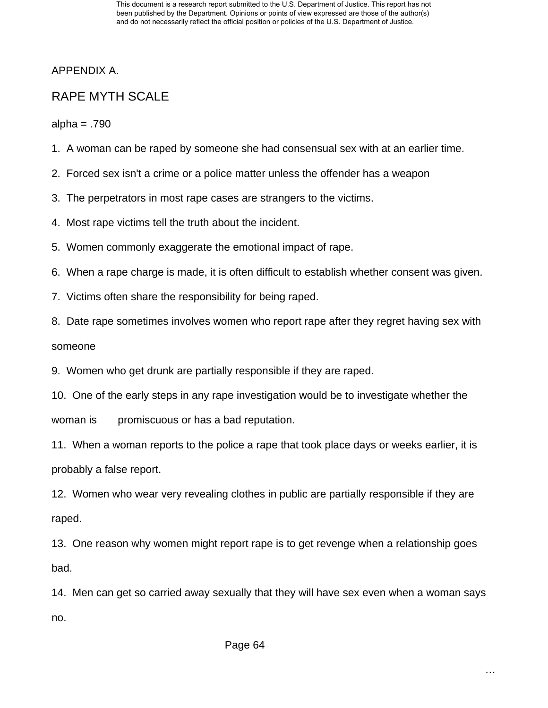This document is a research report submitted to the U.S. Department of Justice. This report has not been published by the Department. Opinions or points of view expressed are those of the author(s) and do not necessarily reflect the official position or policies of the U.S. Department of Justice.

APPENDIX A.

## RAPE MYTH SCALE

alpha = .790

- 1. A woman can be raped by someone she had consensual sex with at an earlier time.
- 2. Forced sex isn't a crime or a police matter unless the offender has a weapon
- 3. The perpetrators in most rape cases are strangers to the victims.
- 4. Most rape victims tell the truth about the incident.
- 5. Women commonly exaggerate the emotional impact of rape.
- 6. When a rape charge is made, it is often difficult to establish whether consent was given.
- 7. Victims often share the responsibility for being raped.
- 8. Date rape sometimes involves women who report rape after they regret having sex with

someone

- 9. Women who get drunk are partially responsible if they are raped.
- 10. One of the early steps in any rape investigation would be to investigate whether the woman is promiscuous or has a bad reputation.

11. When a woman reports to the police a rape that took place days or weeks earlier, it is probably a false report.

12. Women who wear very revealing clothes in public are partially responsible if they are raped.

13. One reason why women might report rape is to get revenge when a relationship goes bad.

14. Men can get so carried away sexually that they will have sex even when a woman says no.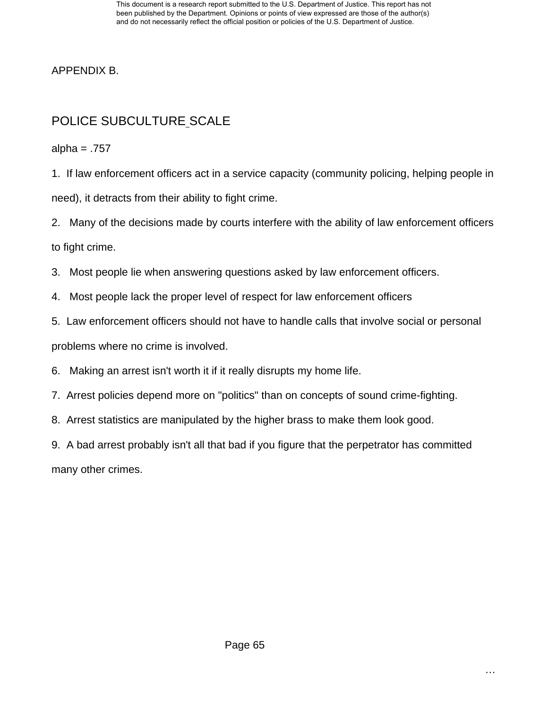APPENDIX B.

# POLICE SUBCULTURE SCALE

alpha =  $.757$ 

1. If law enforcement officers act in a service capacity (community policing, helping people in need), it detracts from their ability to fight crime.

2. Many of the decisions made by courts interfere with the ability of law enforcement officers to fight crime.

3. Most people lie when answering questions asked by law enforcement officers.

4. Most people lack the proper level of respect for law enforcement officers

5. Law enforcement officers should not have to handle calls that involve social or personal

problems where no crime is involved.

6. Making an arrest isn't worth it if it really disrupts my home life.

7. Arrest policies depend more on "politics" than on concepts of sound crime-fighting.

8. Arrest statistics are manipulated by the higher brass to make them look good.

9. A bad arrest probably isn't all that bad if you figure that the perpetrator has committed many other crimes.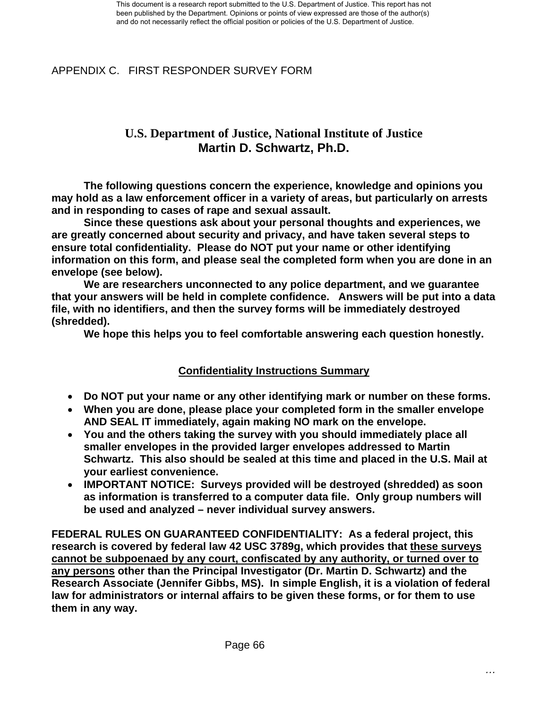APPENDIX C. FIRST RESPONDER SURVEY FORM

### **U.S. Department of Justice, National Institute of Justice Martin D. Schwartz, Ph.D.**

**The following questions concern the experience, knowledge and opinions you may hold as a law enforcement officer in a variety of areas, but particularly on arrests and in responding to cases of rape and sexual assault.** 

**Since these questions ask about your personal thoughts and experiences, we are greatly concerned about security and privacy, and have taken several steps to ensure total confidentiality. Please do NOT put your name or other identifying information on this form, and please seal the completed form when you are done in an envelope (see below).** 

**We are researchers unconnected to any police department, and we guarantee that your answers will be held in complete confidence. Answers will be put into a data file, with no identifiers, and then the survey forms will be immediately destroyed (shredded).** 

**We hope this helps you to feel comfortable answering each question honestly.** 

### **Confidentiality Instructions Summary**

- **Do NOT put your name or any other identifying mark or number on these forms.**
- **When you are done, please place your completed form in the smaller envelope AND SEAL IT immediately, again making NO mark on the envelope.**
- **You and the others taking the survey with you should immediately place all smaller envelopes in the provided larger envelopes addressed to Martin Schwartz. This also should be sealed at this time and placed in the U.S. Mail at your earliest convenience.**
- **IMPORTANT NOTICE: Surveys provided will be destroyed (shredded) as soon as information is transferred to a computer data file. Only group numbers will be used and analyzed – never individual survey answers.**

**FEDERAL RULES ON GUARANTEED CONFIDENTIALITY: As a federal project, this research is covered by federal law 42 USC 3789g, which provides that these surveys cannot be subpoenaed by any court, confiscated by any authority, or turned over to any persons other than the Principal Investigator (Dr. Martin D. Schwartz) and the Research Associate (Jennifer Gibbs, MS). In simple English, it is a violation of federal law for administrators or internal affairs to be given these forms, or for them to use them in any way.**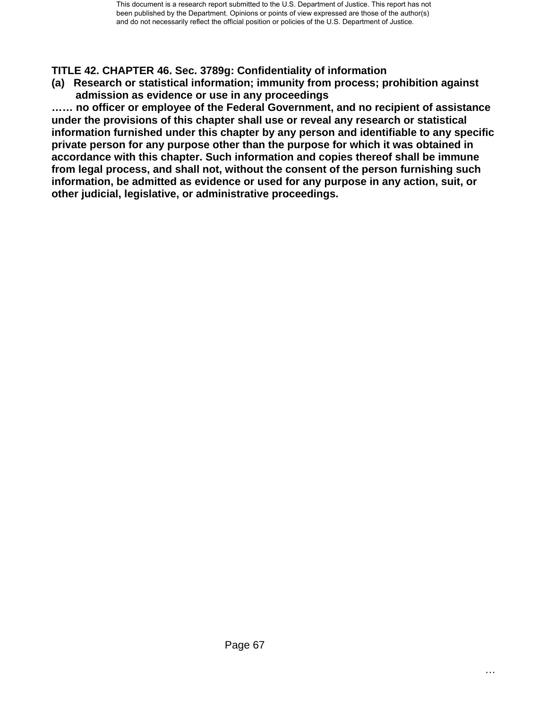### **TITLE 42. CHAPTER 46. Sec. 3789g: Confidentiality of information**

**(a) Research or statistical information; immunity from process; prohibition against admission as evidence or use in any proceedings** 

**…… no officer or employee of the Federal Government, and no recipient of assistance under the provisions of this chapter shall use or reveal any research or statistical information furnished under this chapter by any person and identifiable to any specific private person for any purpose other than the purpose for which it was obtained in accordance with this chapter. Such information and copies thereof shall be immune from legal process, and shall not, without the consent of the person furnishing such information, be admitted as evidence or used for any purpose in any action, suit, or other judicial, legislative, or administrative proceedings.**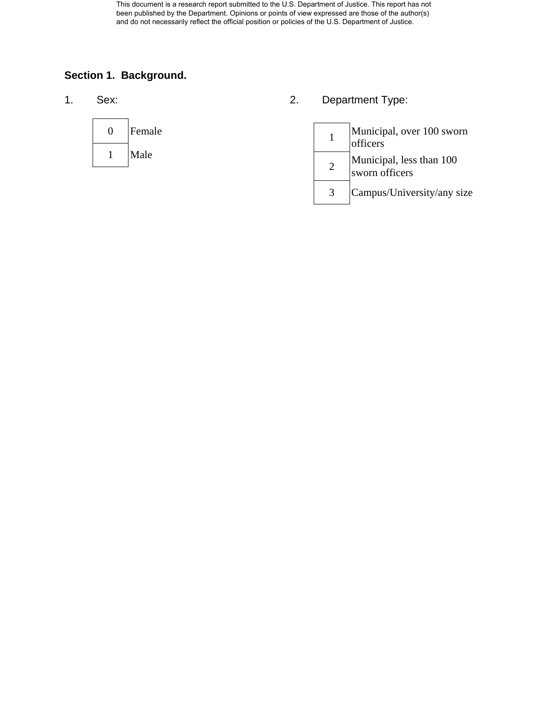This document is a research report submitted to the U.S. Department of Justice. This report has not been published by the Department. Opinions or points of view expressed are those of the author(s) and do not necessarily reflect the official position or policies of the U.S. Department of Justice.

### **Section 1. Background.**



1. Sex: 2. Department Type:

| Municipal, over 100 sworn<br>officers      |
|--------------------------------------------|
| Municipal, less than 100<br>sworn officers |
| Campus/University/any size                 |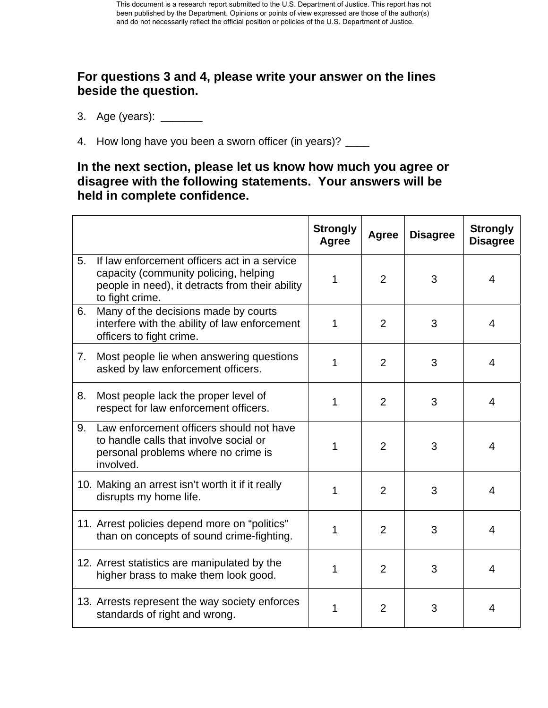### **For questions 3 and 4, please write your answer on the lines beside the question.**

- 3. Age (years): \_\_\_\_\_\_\_\_
- 4. How long have you been a sworn officer (in years)? \_\_\_\_

### **In the next section, please let us know how much you agree or disagree with the following statements. Your answers will be held in complete confidence.**

|    |                                                                                                                                                             | <b>Strongly</b><br>Agree | Agree          | <b>Disagree</b> | <b>Strongly</b><br><b>Disagree</b> |
|----|-------------------------------------------------------------------------------------------------------------------------------------------------------------|--------------------------|----------------|-----------------|------------------------------------|
| 5. | If law enforcement officers act in a service<br>capacity (community policing, helping<br>people in need), it detracts from their ability<br>to fight crime. | 1                        | $\overline{2}$ | 3               | 4                                  |
| 6. | Many of the decisions made by courts<br>interfere with the ability of law enforcement<br>officers to fight crime.                                           | 1                        | $\overline{2}$ | 3               | 4                                  |
| 7. | Most people lie when answering questions<br>asked by law enforcement officers.                                                                              | 1                        | $\overline{2}$ | 3               | 4                                  |
| 8. | Most people lack the proper level of<br>respect for law enforcement officers.                                                                               | 1                        | 2              | 3               | 4                                  |
| 9. | Law enforcement officers should not have<br>to handle calls that involve social or<br>personal problems where no crime is<br>involved.                      | 1                        | $\overline{2}$ | 3               | 4                                  |
|    | 10. Making an arrest isn't worth it if it really<br>disrupts my home life.                                                                                  | 1                        | 2              | 3               | 4                                  |
|    | 11. Arrest policies depend more on "politics"<br>than on concepts of sound crime-fighting.                                                                  | 1                        | $\overline{2}$ | 3               | 4                                  |
|    | 12. Arrest statistics are manipulated by the<br>higher brass to make them look good.                                                                        | 1                        | $\overline{2}$ | 3               | 4                                  |
|    | 13. Arrests represent the way society enforces<br>standards of right and wrong.                                                                             | 1                        | $\overline{2}$ | 3               | 4                                  |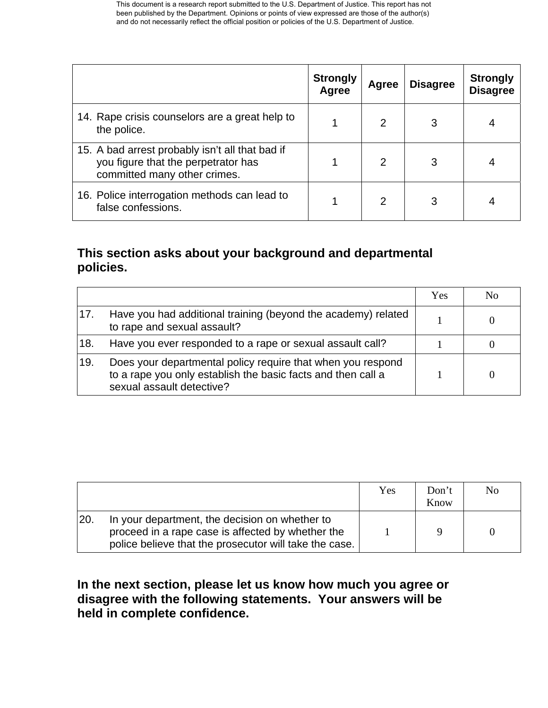|                                                                                                                        | <b>Strongly</b><br>Agree | Agree          | <b>Disagree</b> | <b>Strongly</b><br><b>Disagree</b> |
|------------------------------------------------------------------------------------------------------------------------|--------------------------|----------------|-----------------|------------------------------------|
| 14. Rape crisis counselors are a great help to<br>the police.                                                          |                          | $\mathcal{P}$  | 3               |                                    |
| 15. A bad arrest probably isn't all that bad if<br>you figure that the perpetrator has<br>committed many other crimes. |                          | $\overline{2}$ | 3               |                                    |
| 16. Police interrogation methods can lead to<br>false confessions.                                                     |                          | 2              | 3               |                                    |

### **This section asks about your background and departmental policies.**

|                |                                                                                                                                                          | Yes | No |
|----------------|----------------------------------------------------------------------------------------------------------------------------------------------------------|-----|----|
| <sup>17.</sup> | Have you had additional training (beyond the academy) related<br>to rape and sexual assault?                                                             |     |    |
| 18.            | Have you ever responded to a rape or sexual assault call?                                                                                                |     |    |
| 19.            | Does your departmental policy require that when you respond<br>to a rape you only establish the basic facts and then call a<br>sexual assault detective? |     |    |

|     |                                                                                                                                                               | Yes | Don't<br>Know | No |
|-----|---------------------------------------------------------------------------------------------------------------------------------------------------------------|-----|---------------|----|
| 20. | In your department, the decision on whether to<br>proceed in a rape case is affected by whether the<br>police believe that the prosecutor will take the case. |     |               |    |

### **In the next section, please let us know how much you agree or disagree with the following statements. Your answers will be held in complete confidence.**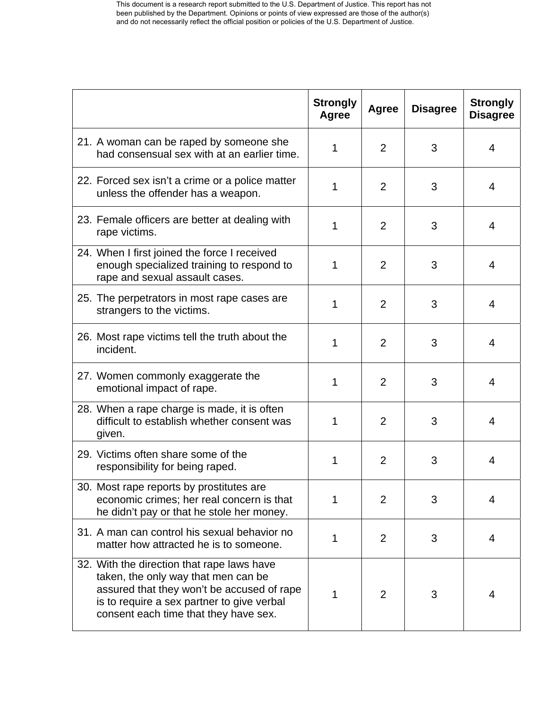|                                                                                                                                                                                                                        | <b>Strongly</b><br>Agree | Agree          | <b>Disagree</b> | <b>Strongly</b><br><b>Disagree</b> |
|------------------------------------------------------------------------------------------------------------------------------------------------------------------------------------------------------------------------|--------------------------|----------------|-----------------|------------------------------------|
| 21. A woman can be raped by someone she<br>had consensual sex with at an earlier time.                                                                                                                                 | 1                        | 2              | 3               | 4                                  |
| 22. Forced sex isn't a crime or a police matter<br>unless the offender has a weapon.                                                                                                                                   | 1                        | $\overline{2}$ | 3               | 4                                  |
| 23. Female officers are better at dealing with<br>rape victims.                                                                                                                                                        | 1                        | $\overline{2}$ | 3               | 4                                  |
| 24. When I first joined the force I received<br>enough specialized training to respond to<br>rape and sexual assault cases.                                                                                            | 1                        | 2              | 3               | 4                                  |
| 25. The perpetrators in most rape cases are<br>strangers to the victims.                                                                                                                                               | 1                        | 2              | 3               | 4                                  |
| 26. Most rape victims tell the truth about the<br>incident.                                                                                                                                                            | 1                        | 2              | 3               | 4                                  |
| 27. Women commonly exaggerate the<br>emotional impact of rape.                                                                                                                                                         | 1                        | $\overline{2}$ | 3               | 4                                  |
| 28. When a rape charge is made, it is often<br>difficult to establish whether consent was<br>given.                                                                                                                    | 1                        | $\overline{2}$ | 3               | 4                                  |
| 29. Victims often share some of the<br>responsibility for being raped.                                                                                                                                                 | 1                        | 2              | 3               | 4                                  |
| 30. Most rape reports by prostitutes are<br>economic crimes; her real concern is that<br>he didn't pay or that he stole her money.                                                                                     | 1                        | $\overline{2}$ | 3               | 4                                  |
| 31. A man can control his sexual behavior no<br>matter how attracted he is to someone.                                                                                                                                 | 1                        | $\overline{2}$ | 3               | 4                                  |
| 32. With the direction that rape laws have<br>taken, the only way that men can be<br>assured that they won't be accused of rape<br>is to require a sex partner to give verbal<br>consent each time that they have sex. | 1                        | 2              | 3               | 4                                  |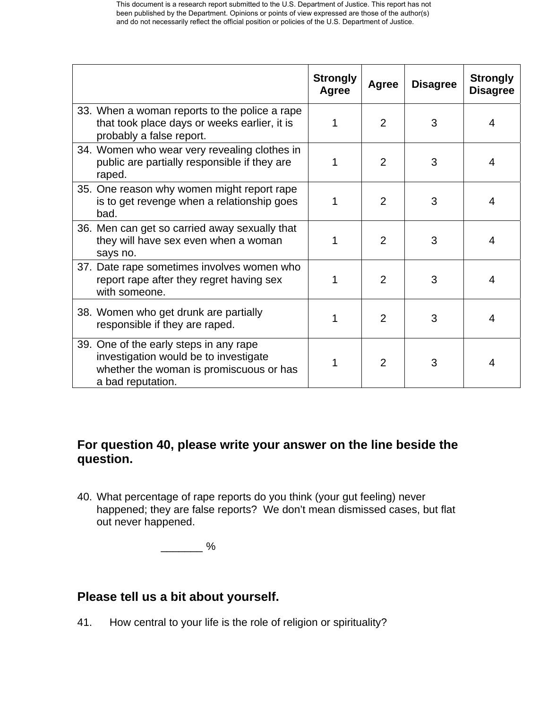|                                                                                                                                                 | <b>Strongly</b><br>Agree | Agree          | <b>Disagree</b> | <b>Strongly</b><br><b>Disagree</b> |
|-------------------------------------------------------------------------------------------------------------------------------------------------|--------------------------|----------------|-----------------|------------------------------------|
| 33. When a woman reports to the police a rape<br>that took place days or weeks earlier, it is<br>probably a false report.                       |                          | $\overline{2}$ | 3               | 4                                  |
| 34. Women who wear very revealing clothes in<br>public are partially responsible if they are<br>raped.                                          | 1                        | $\overline{2}$ | 3               | 4                                  |
| 35. One reason why women might report rape<br>is to get revenge when a relationship goes<br>bad.                                                | 1                        | $\overline{2}$ | 3               | 4                                  |
| 36. Men can get so carried away sexually that<br>they will have sex even when a woman<br>says no.                                               | 1                        | $\overline{2}$ | 3               | 4                                  |
| 37. Date rape sometimes involves women who<br>report rape after they regret having sex<br>with someone.                                         | 1                        | $\overline{2}$ | 3               | 4                                  |
| 38. Women who get drunk are partially<br>responsible if they are raped.                                                                         | 1                        | $\overline{2}$ | 3               | 4                                  |
| 39. One of the early steps in any rape<br>investigation would be to investigate<br>whether the woman is promiscuous or has<br>a bad reputation. | 1                        | $\overline{2}$ | 3               | 4                                  |

# **For question 40, please write your answer on the line beside the question.**

40. What percentage of rape reports do you think (your gut feeling) never happened; they are false reports? We don't mean dismissed cases, but flat out never happened.

 $\frac{1}{2}$ 

# **Please tell us a bit about yourself.**

41. How central to your life is the role of religion or spirituality?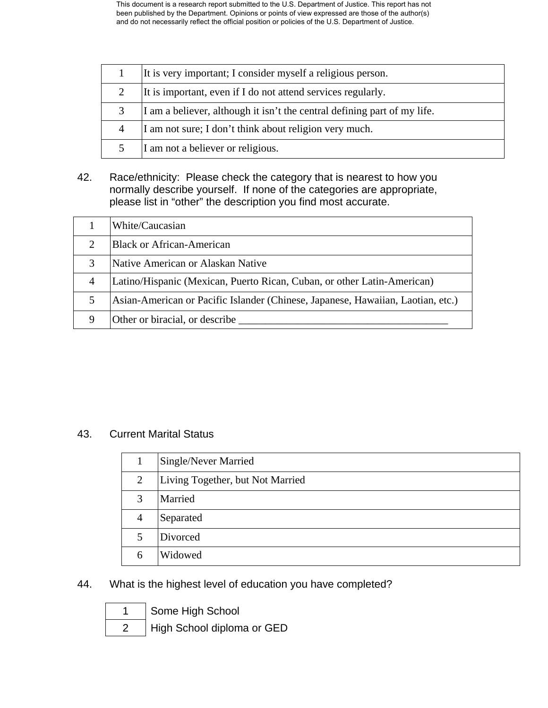|   | It is very important; I consider myself a religious person.              |
|---|--------------------------------------------------------------------------|
|   | It is important, even if I do not attend services regularly.             |
| 3 | I am a believer, although it isn't the central defining part of my life. |
| 4 | I am not sure; I don't think about religion very much.                   |
|   | I am not a believer or religious.                                        |

42. Race/ethnicity: Please check the category that is nearest to how you normally describe yourself. If none of the categories are appropriate, please list in "other" the description you find most accurate.

|                | White/Caucasian                                                                 |
|----------------|---------------------------------------------------------------------------------|
| 2              | <b>Black or African-American</b>                                                |
| 3              | Native American or Alaskan Native                                               |
| $\overline{4}$ | Latino/Hispanic (Mexican, Puerto Rican, Cuban, or other Latin-American)         |
| 5              | Asian-American or Pacific Islander (Chinese, Japanese, Hawaiian, Laotian, etc.) |
| 9              | Other or biracial, or describe                                                  |

## 43. Current Marital Status

|                | Single/Never Married             |
|----------------|----------------------------------|
| 2              | Living Together, but Not Married |
| 3              | Married                          |
| $\overline{4}$ | Separated                        |
| 5              | Divorced                         |
|                | Widowed                          |

#### 44. What is the highest level of education you have completed?

Some High School

High School diploma or GED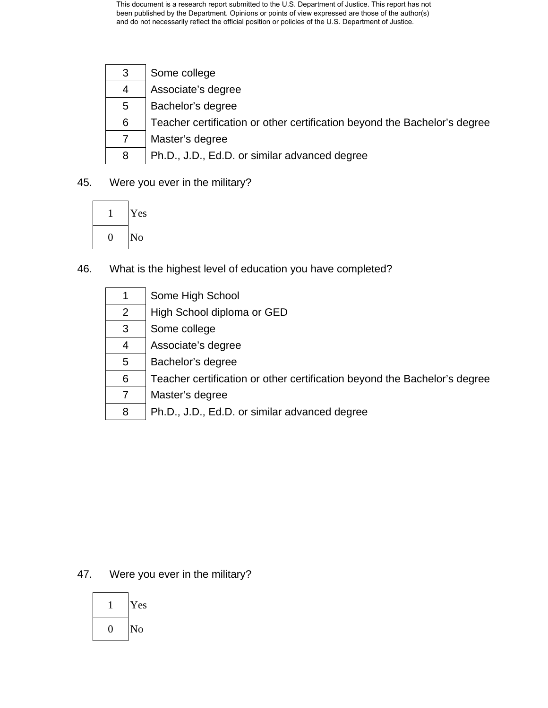| 3 | Some college                                                              |
|---|---------------------------------------------------------------------------|
| 4 | Associate's degree                                                        |
| 5 | Bachelor's degree                                                         |
| 6 | Teacher certification or other certification beyond the Bachelor's degree |
|   | Master's degree                                                           |
| 8 | Ph.D., J.D., Ed.D. or similar advanced degree                             |

## 45. Were you ever in the military?



46. What is the highest level of education you have completed?

|   | Some High School                                                          |
|---|---------------------------------------------------------------------------|
| 2 | High School diploma or GED                                                |
| 3 | Some college                                                              |
| 4 | Associate's degree                                                        |
| 5 | Bachelor's degree                                                         |
| 6 | Teacher certification or other certification beyond the Bachelor's degree |
|   | Master's degree                                                           |
| 8 | Ph.D., J.D., Ed.D. or similar advanced degree                             |

## 47. Were you ever in the military?

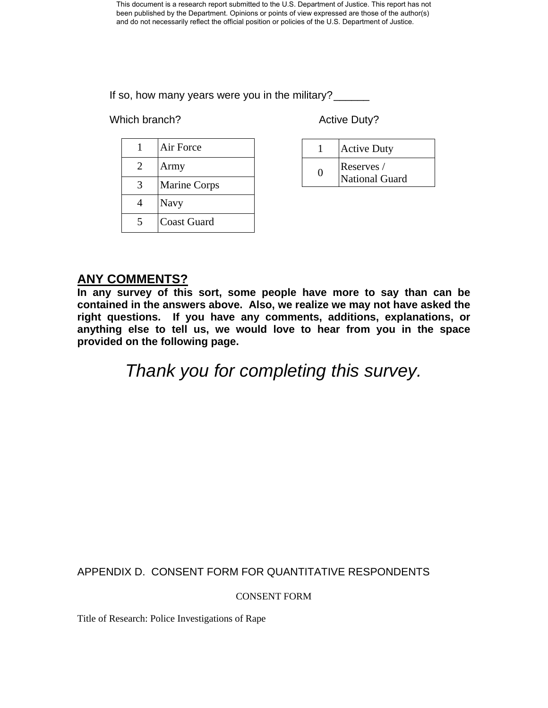If so, how many years were you in the military?

Which branch? Most controlled with the Muslim Active Duty?

|   | Air Force           |
|---|---------------------|
| 2 | Army                |
| 3 | <b>Marine Corps</b> |
|   | <b>Navy</b>         |
|   | <b>Coast Guard</b>  |

| <b>Active Duty</b>           |
|------------------------------|
| Reserves /<br>National Guard |

# **ANY COMMENTS?**

**In any survey of this sort, some people have more to say than can be contained in the answers above. Also, we realize we may not have asked the right questions. If you have any comments, additions, explanations, or anything else to tell us, we would love to hear from you in the space provided on the following page.** 

*Thank you for completing this survey.* 

APPENDIX D. CONSENT FORM FOR QUANTITATIVE RESPONDENTS

CONSENT FORM

Title of Research: Police Investigations of Rape